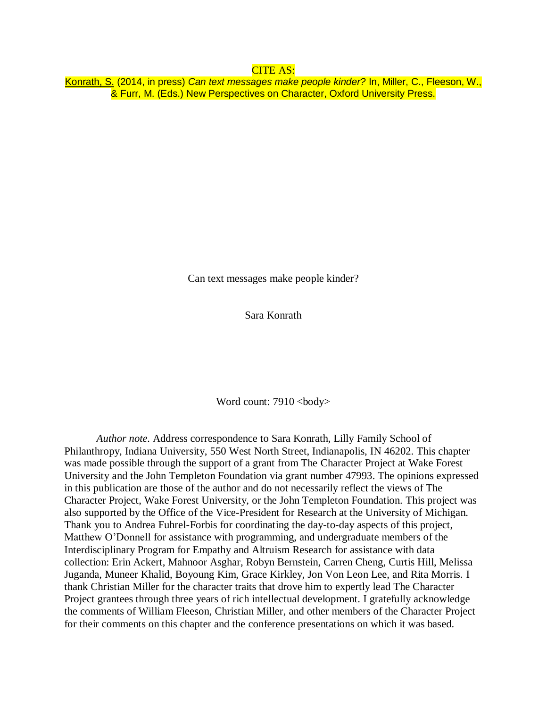### CITE AS:

Konrath, S. (2014, in press) *Can text messages make people kinder?* In, Miller, C., Fleeson, W., & Furr, M. (Eds.) New Perspectives on Character, Oxford University Press.

Can text messages make people kinder?

Sara Konrath

Word count: 7910 <br/>body>

*Author note.* Address correspondence to Sara Konrath, Lilly Family School of Philanthropy, Indiana University, 550 West North Street, Indianapolis, IN 46202. This chapter was made possible through the support of a grant from The Character Project at Wake Forest University and the John Templeton Foundation via grant number 47993. The opinions expressed in this publication are those of the author and do not necessarily reflect the views of The Character Project, Wake Forest University, or the John Templeton Foundation. This project was also supported by the Office of the Vice-President for Research at the University of Michigan. Thank you to Andrea Fuhrel-Forbis for coordinating the day-to-day aspects of this project, Matthew O'Donnell for assistance with programming, and undergraduate members of the Interdisciplinary Program for Empathy and Altruism Research for assistance with data collection: Erin Ackert, Mahnoor Asghar, Robyn Bernstein, Carren Cheng, Curtis Hill, Melissa Juganda, Muneer Khalid, Boyoung Kim, Grace Kirkley, Jon Von Leon Lee, and Rita Morris. I thank Christian Miller for the character traits that drove him to expertly lead The Character Project grantees through three years of rich intellectual development. I gratefully acknowledge the comments of William Fleeson, Christian Miller, and other members of the Character Project for their comments on this chapter and the conference presentations on which it was based.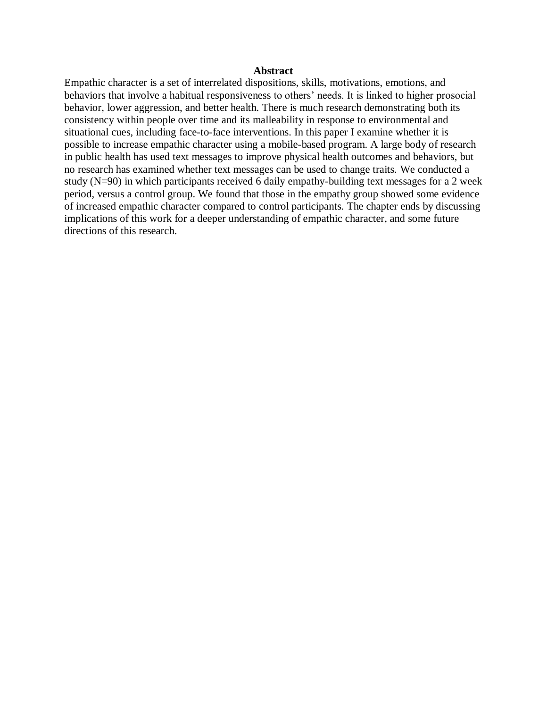#### **Abstract**

Empathic character is a set of interrelated dispositions, skills, motivations, emotions, and behaviors that involve a habitual responsiveness to others' needs. It is linked to higher prosocial behavior, lower aggression, and better health. There is much research demonstrating both its consistency within people over time and its malleability in response to environmental and situational cues, including face-to-face interventions. In this paper I examine whether it is possible to increase empathic character using a mobile-based program. A large body of research in public health has used text messages to improve physical health outcomes and behaviors, but no research has examined whether text messages can be used to change traits. We conducted a study (N=90) in which participants received 6 daily empathy-building text messages for a 2 week period, versus a control group. We found that those in the empathy group showed some evidence of increased empathic character compared to control participants. The chapter ends by discussing implications of this work for a deeper understanding of empathic character, and some future directions of this research.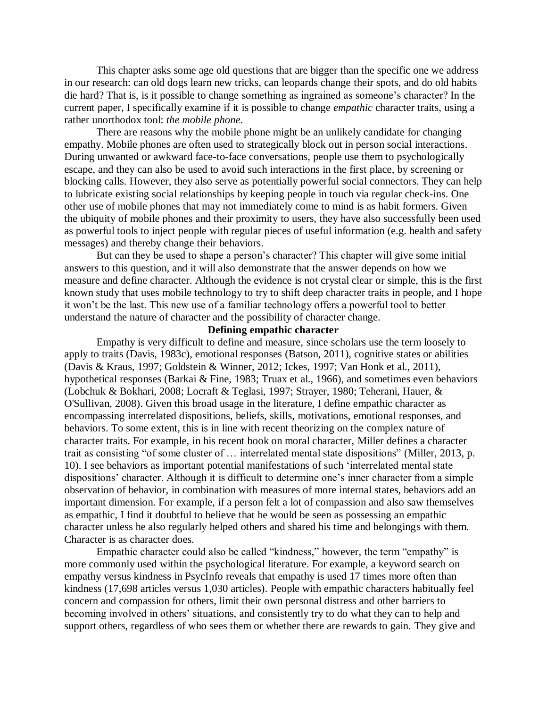This chapter asks some age old questions that are bigger than the specific one we address in our research: can old dogs learn new tricks, can leopards change their spots, and do old habits die hard? That is, is it possible to change something as ingrained as someone's character? In the current paper, I specifically examine if it is possible to change *empathic* character traits, using a rather unorthodox tool: *the mobile phone*.

There are reasons why the mobile phone might be an unlikely candidate for changing empathy. Mobile phones are often used to strategically block out in person social interactions. During unwanted or awkward face-to-face conversations, people use them to psychologically escape, and they can also be used to avoid such interactions in the first place, by screening or blocking calls. However, they also serve as potentially powerful social connectors. They can help to lubricate existing social relationships by keeping people in touch via regular check-ins. One other use of mobile phones that may not immediately come to mind is as habit formers. Given the ubiquity of mobile phones and their proximity to users, they have also successfully been used as powerful tools to inject people with regular pieces of useful information (e.g. health and safety messages) and thereby change their behaviors.

But can they be used to shape a person's character? This chapter will give some initial answers to this question, and it will also demonstrate that the answer depends on how we measure and define character. Although the evidence is not crystal clear or simple, this is the first known study that uses mobile technology to try to shift deep character traits in people, and I hope it won't be the last. This new use of a familiar technology offers a powerful tool to better understand the nature of character and the possibility of character change.

### **Defining empathic character**

Empathy is very difficult to define and measure, since scholars use the term loosely to apply to traits [\(Davis, 1983c\)](#page-18-0), emotional responses [\(Batson, 2011\)](#page-16-0), cognitive states or abilities [\(Davis & Kraus, 1997;](#page-18-1) [Goldstein & Winner, 2012;](#page-19-0) [Ickes, 1997;](#page-19-1) [Van Honk et al., 2011\)](#page-24-0), hypothetical responses [\(Barkai & Fine, 1983;](#page-16-1) [Truax et al., 1966\)](#page-24-1), and sometimes even behaviors [\(Lobchuk & Bokhari, 2008;](#page-21-0) [Locraft & Teglasi, 1997;](#page-21-1) [Strayer, 1980;](#page-23-0) [Teherani, Hauer, &](#page-23-1)  [O'Sullivan, 2008\)](#page-23-1). Given this broad usage in the literature, I define empathic character as encompassing interrelated dispositions, beliefs, skills, motivations, emotional responses, and behaviors. To some extent, this is in line with recent theorizing on the complex nature of character traits. For example, in his recent book on moral character, Miller defines a character trait as consisting "of some cluster of … interrelated mental state dispositions" [\(Miller, 2013,](#page-21-2) p. 10). I see behaviors as important potential manifestations of such 'interrelated mental state dispositions' character. Although it is difficult to determine one's inner character from a simple observation of behavior, in combination with measures of more internal states, behaviors add an important dimension. For example, if a person felt a lot of compassion and also saw themselves as empathic, I find it doubtful to believe that he would be seen as possessing an empathic character unless he also regularly helped others and shared his time and belongings with them. Character is as character does.

Empathic character could also be called "kindness," however, the term "empathy" is more commonly used within the psychological literature. For example, a keyword search on empathy versus kindness in PsycInfo reveals that empathy is used 17 times more often than kindness (17,698 articles versus 1,030 articles). People with empathic characters habitually feel concern and compassion for others, limit their own personal distress and other barriers to becoming involved in others' situations, and consistently try to do what they can to help and support others, regardless of who sees them or whether there are rewards to gain. They give and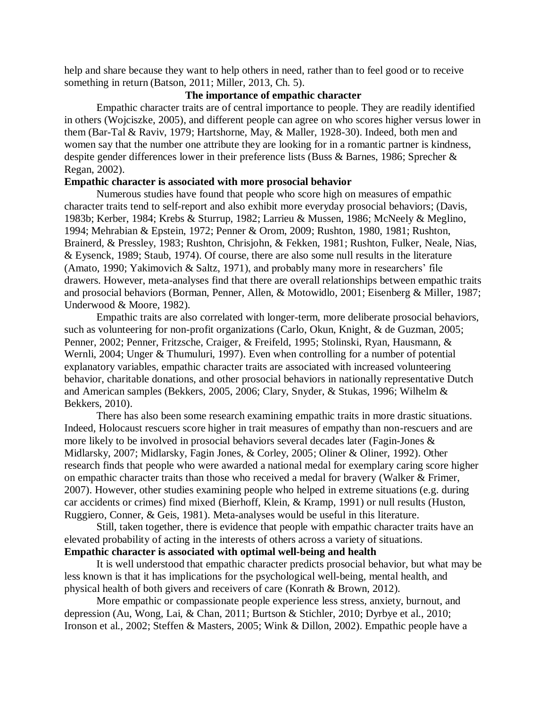help and share because they want to help others in need, rather than to feel good or to receive something in return [\(Batson, 2011;](#page-16-0) [Miller, 2013,](#page-21-2) Ch. 5).

### **The importance of empathic character**

Empathic character traits are of central importance to people. They are readily identified in others [\(Wojciszke, 2005\)](#page-25-0), and different people can agree on who scores higher versus lower in them [\(Bar-Tal & Raviv, 1979;](#page-16-2) [Hartshorne, May, & Maller, 1928-30\)](#page-19-2). Indeed, both men and women say that the number one attribute they are looking for in a romantic partner is kindness, despite gender differences lower in their preference lists [\(Buss & Barnes, 1986;](#page-17-0) [Sprecher &](#page-23-2)  [Regan, 2002\)](#page-23-2).

# **Empathic character is associated with more prosocial behavior**

Numerous studies have found that people who score high on measures of empathic character traits tend to self-report and also exhibit more everyday prosocial behaviors; [\(Davis,](#page-18-2)  [1983b;](#page-18-2) [Kerber, 1984;](#page-20-0) [Krebs & Sturrup, 1982;](#page-20-1) [Larrieu & Mussen, 1986;](#page-21-3) [McNeely & Meglino,](#page-21-4)  [1994;](#page-21-4) [Mehrabian & Epstein, 1972;](#page-21-5) [Penner & Orom, 2009;](#page-22-0) [Rushton, 1980,](#page-22-1) [1981;](#page-22-2) [Rushton,](#page-22-3)  [Brainerd, & Pressley, 1983;](#page-22-3) [Rushton, Chrisjohn, & Fekken, 1981;](#page-23-3) [Rushton, Fulker, Neale, Nias,](#page-23-4)  [& Eysenck, 1989;](#page-23-4) [Staub, 1974\)](#page-23-5). Of course, there are also some null results in the literature [\(Amato, 1990;](#page-16-3) [Yakimovich & Saltz, 1971\)](#page-25-1), and probably many more in researchers' file drawers. However, meta-analyses find that there are overall relationships between empathic traits and prosocial behaviors [\(Borman, Penner, Allen, & Motowidlo, 2001;](#page-17-1) [Eisenberg & Miller, 1987;](#page-18-3) [Underwood & Moore, 1982\)](#page-24-2).

Empathic traits are also correlated with longer-term, more deliberate prosocial behaviors, such as volunteering for non-profit organizations [\(Carlo, Okun, Knight, & de Guzman, 2005;](#page-17-2) [Penner, 2002;](#page-22-4) [Penner, Fritzsche, Craiger, & Freifeld, 1995;](#page-22-5) [Stolinski, Ryan, Hausmann, &](#page-23-6)  [Wernli, 2004;](#page-23-6) [Unger & Thumuluri, 1997\)](#page-24-3). Even when controlling for a number of potential explanatory variables, empathic character traits are associated with increased volunteering behavior, charitable donations, and other prosocial behaviors in nationally representative Dutch and American samples [\(Bekkers, 2005,](#page-17-3) [2006;](#page-17-4) [Clary, Snyder, & Stukas, 1996;](#page-17-5) [Wilhelm &](#page-24-4)  [Bekkers, 2010\)](#page-24-4).

There has also been some research examining empathic traits in more drastic situations. Indeed, Holocaust rescuers score higher in trait measures of empathy than non-rescuers and are more likely to be involved in prosocial behaviors several decades later [\(Fagin-Jones &](#page-18-4)  [Midlarsky, 2007;](#page-18-4) [Midlarsky, Fagin Jones, & Corley, 2005;](#page-21-6) [Oliner & Oliner, 1992\)](#page-22-6). Other research finds that people who were awarded a national medal for exemplary caring score higher on empathic character traits than those who received a medal for bravery [\(Walker & Frimer,](#page-24-5)  [2007\)](#page-24-5). However, other studies examining people who helped in extreme situations (e.g. during car accidents or crimes) find mixed [\(Bierhoff, Klein, & Kramp, 1991\)](#page-17-6) or null results [\(Huston,](#page-19-3)  [Ruggiero, Conner, & Geis, 1981\)](#page-19-3). Meta-analyses would be useful in this literature.

Still, taken together, there is evidence that people with empathic character traits have an elevated probability of acting in the interests of others across a variety of situations.

# **Empathic character is associated with optimal well-being and health**

It is well understood that empathic character predicts prosocial behavior, but what may be less known is that it has implications for the psychological well-being, mental health, and physical health of both givers and receivers of care [\(Konrath & Brown, 2012\)](#page-20-2).

More empathic or compassionate people experience less stress, anxiety, burnout, and depression [\(Au, Wong, Lai, & Chan, 2011;](#page-16-4) [Burtson & Stichler, 2010;](#page-17-7) [Dyrbye et al., 2010;](#page-18-5) [Ironson et al., 2002;](#page-19-4) [Steffen & Masters, 2005;](#page-23-7) [Wink & Dillon, 2002\)](#page-25-2). Empathic people have a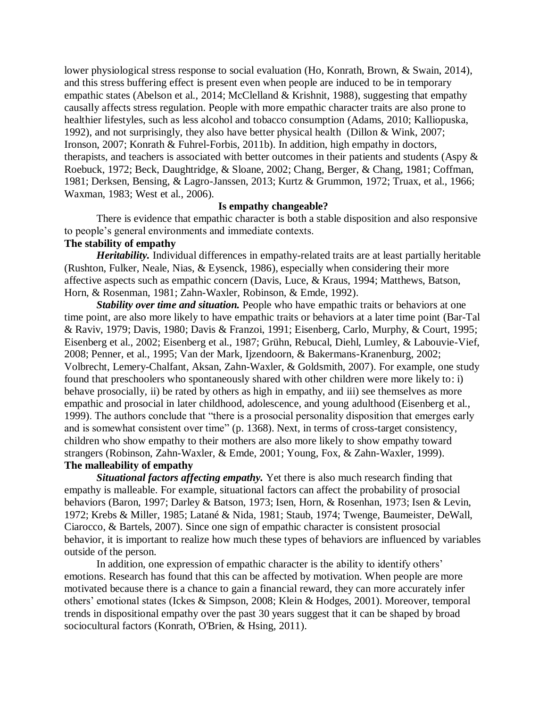lower physiological stress response to social evaluation [\(Ho, Konrath, Brown, & Swain, 2014\)](#page-19-5), and this stress buffering effect is present even when people are induced to be in temporary empathic states [\(Abelson et al., 2014;](#page-16-5) [McClelland & Krishnit, 1988\)](#page-21-7), suggesting that empathy causally affects stress regulation. People with more empathic character traits are also prone to healthier lifestyles, such as less alcohol and tobacco consumption [\(Adams, 2010;](#page-16-6) [Kalliopuska,](#page-20-3)  [1992\)](#page-20-3), and not surprisingly, they also have better physical health [\(Dillon & Wink, 2007;](#page-18-6) [Ironson, 2007;](#page-19-6) [Konrath & Fuhrel-Forbis, 2011b\)](#page-20-4). In addition, high empathy in doctors, therapists, and teachers is associated with better outcomes in their patients and students [\(Aspy &](#page-16-7)  [Roebuck, 1972;](#page-16-7) [Beck, Daughtridge, & Sloane, 2002;](#page-17-8) [Chang, Berger, & Chang, 1981;](#page-17-9) [Coffman,](#page-17-10)  [1981;](#page-17-10) [Derksen, Bensing, & Lagro-Janssen, 2013;](#page-18-7) [Kurtz & Grummon, 1972;](#page-21-8) [Truax, et al., 1966;](#page-24-1) [Waxman, 1983;](#page-24-6) [West et al., 2006\)](#page-24-7).

### **Is empathy changeable?**

There is evidence that empathic character is both a stable disposition and also responsive to people's general environments and immediate contexts.

# **The stability of empathy**

*Heritability.* Individual differences in empathy-related traits are at least partially heritable [\(Rushton, Fulker, Neale, Nias, & Eysenck, 1986\)](#page-23-8), especially when considering their more affective aspects such as empathic concern [\(Davis, Luce, & Kraus, 1994;](#page-18-8) [Matthews, Batson,](#page-21-9)  [Horn, & Rosenman, 1981;](#page-21-9) [Zahn-Waxler, Robinson, & Emde, 1992\)](#page-25-3).

*Stability over time and situation.* People who have empathic traits or behaviors at one time point, are also more likely to have empathic traits or behaviors at a later time point [\(Bar-Tal](#page-16-2)  [& Raviv, 1979;](#page-16-2) [Davis, 1980;](#page-17-11) [Davis & Franzoi, 1991;](#page-18-9) [Eisenberg, Carlo, Murphy, & Court, 1995;](#page-18-10) [Eisenberg et al., 2002;](#page-18-11) [Eisenberg et al., 1987;](#page-18-12) [Grühn, Rebucal, Diehl, Lumley, & Labouvie-Vief,](#page-19-7)  [2008;](#page-19-7) [Penner, et al., 1995;](#page-22-5) [Van der Mark, Ijzendoorn, & Bakermans-Kranenburg, 2002;](#page-24-8) [Volbrecht, Lemery-Chalfant, Aksan, Zahn-Waxler, & Goldsmith, 2007\)](#page-24-9). For example, one study found that preschoolers who spontaneously shared with other children were more likely to: i) behave prosocially, ii) be rated by others as high in empathy, and iii) see themselves as more empathic and prosocial in later childhood, adolescence, and young adulthood [\(Eisenberg et al.,](#page-18-13)  [1999\)](#page-18-13). The authors conclude that "there is a prosocial personality disposition that emerges early and is somewhat consistent over time" (p. 1368). Next, in terms of cross-target consistency, children who show empathy to their mothers are also more likely to show empathy toward strangers [\(Robinson, Zahn-Waxler, & Emde, 2001;](#page-22-7) [Young, Fox, & Zahn-Waxler, 1999\)](#page-25-4).

## **The malleability of empathy**

*Situational factors affecting empathy.* Yet there is also much research finding that empathy is malleable. For example, situational factors can affect the probability of prosocial behaviors [\(Baron, 1997;](#page-16-8) [Darley & Batson, 1973;](#page-17-12) [Isen, Horn, & Rosenhan, 1973;](#page-20-5) [Isen & Levin,](#page-20-6)  [1972;](#page-20-6) [Krebs & Miller, 1985;](#page-20-7) [Latané & Nida, 1981;](#page-21-10) [Staub, 1974;](#page-23-5) [Twenge, Baumeister, DeWall,](#page-24-10)  [Ciarocco, & Bartels, 2007\)](#page-24-10). Since one sign of empathic character is consistent prosocial behavior, it is important to realize how much these types of behaviors are influenced by variables outside of the person.

In addition, one expression of empathic character is the ability to identify others' emotions. Research has found that this can be affected by motivation. When people are more motivated because there is a chance to gain a financial reward, they can more accurately infer others' emotional states [\(Ickes & Simpson, 2008;](#page-19-8) [Klein & Hodges, 2001\)](#page-20-8). Moreover, temporal trends in dispositional empathy over the past 30 years suggest that it can be shaped by broad sociocultural factors [\(Konrath, O'Brien, & Hsing, 2011\)](#page-20-9).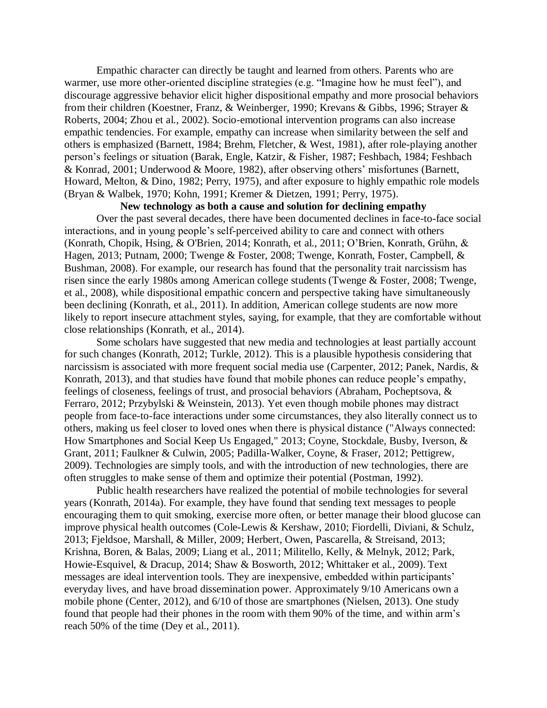Empathic character can directly be taught and learned from others. Parents who are warmer, use more other-oriented discipline strategies (e.g. "Imagine how he must feel"), and discourage aggressive behavior elicit higher dispositional empathy and more prosocial behaviors from their children [\(Koestner, Franz, & Weinberger, 1990;](#page-20-10) [Krevans & Gibbs, 1996;](#page-21-11) [Strayer &](#page-23-9)  [Roberts, 2004;](#page-23-9) [Zhou et al., 2002\)](#page-25-5). Socio-emotional intervention programs can also increase empathic tendencies. For example, empathy can increase when similarity between the self and others is emphasized [\(Barnett, 1984;](#page-16-9) [Brehm, Fletcher, & West, 1981\)](#page-17-13), after role-playing another person's feelings or situation [\(Barak, Engle, Katzir, & Fisher, 1987;](#page-16-10) [Feshbach, 1984;](#page-19-9) [Feshbach](#page-19-10)  [& Konrad, 2001;](#page-19-10) [Underwood & Moore, 1982\)](#page-24-2), after observing others' misfortunes [\(Barnett,](#page-16-11)  [Howard, Melton, & Dino, 1982;](#page-16-11) [Perry, 1975\)](#page-22-8), and after exposure to highly empathic role models [\(Bryan & Walbek, 1970;](#page-17-14) [Kohn, 1991;](#page-20-11) [Kremer & Dietzen, 1991;](#page-21-12) [Perry, 1975\)](#page-22-8).

**New technology as both a cause and solution for declining empathy** Over the past several decades, there have been documented declines in face-to-face social interactions, and in young people's self-perceived ability to care and connect with others [\(Konrath, Chopik, Hsing, & O'Brien, 2014;](#page-20-12) [Konrath, et al., 2011;](#page-20-9) [O'Brien, Konrath, Grühn, &](#page-22-9)  [Hagen, 2013;](#page-22-9) [Putnam, 2000;](#page-22-10) [Twenge & Foster, 2008;](#page-24-11) [Twenge, Konrath, Foster, Campbell, &](#page-24-12)  [Bushman, 2008\)](#page-24-12). For example, our research has found that the personality trait narcissism has risen since the early 1980s among American college students [\(Twenge & Foster, 2008;](#page-24-11) [Twenge,](#page-24-12)  [et al., 2008\)](#page-24-12), while dispositional empathic concern and perspective taking have simultaneously been declining [\(Konrath, et al., 2011\)](#page-20-9). In addition, American college students are now more likely to report insecure attachment styles, saying, for example, that they are comfortable without close relationships [\(Konrath, et al., 2014\)](#page-20-12).

Some scholars have suggested that new media and technologies at least partially account for such changes [\(Konrath, 2012;](#page-20-13) [Turkle, 2012\)](#page-24-13). This is a plausible hypothesis considering that narcissism is associated with more frequent social media use [\(Carpenter, 2012;](#page-17-15) [Panek, Nardis, &](#page-22-11)  [Konrath, 2013\)](#page-22-11), and that studies have found that mobile phones can reduce people's empathy, feelings of closeness, feelings of trust, and prosocial behaviors [\(Abraham, Pocheptsova, &](#page-16-12)  [Ferraro, 2012;](#page-16-12) [Przybylski & Weinstein, 2013\)](#page-22-12). Yet even though mobile phones may distract people from face-to-face interactions under some circumstances, they also literally connect us to others, making us feel closer to loved ones when there is physical distance [\("Always connected:](#page-16-13)  [How Smartphones and Social Keep Us Engaged," 2013;](#page-16-13) [Coyne, Stockdale, Busby, Iverson, &](#page-17-16)  [Grant, 2011;](#page-17-16) [Faulkner & Culwin, 2005;](#page-19-11) Padilla‐[Walker, Coyne, & Fraser, 2012;](#page-22-13) [Pettigrew,](#page-22-14)  [2009\)](#page-22-14). Technologies are simply tools, and with the introduction of new technologies, there are often struggles to make sense of them and optimize their potential [\(Postman, 1992\)](#page-22-15).

Public health researchers have realized the potential of mobile technologies for several years [\(Konrath, 2014a\)](#page-20-14). For example, they have found that sending text messages to people encouraging them to quit smoking, exercise more often, or better manage their blood glucose can improve physical health outcomes [\(Cole-Lewis & Kershaw, 2010;](#page-17-17) [Fiordelli, Diviani, & Schulz,](#page-19-12)  [2013;](#page-19-12) [Fjeldsoe, Marshall, & Miller, 2009;](#page-19-13) [Herbert, Owen, Pascarella, & Streisand, 2013;](#page-19-14) [Krishna, Boren, & Balas, 2009;](#page-21-13) [Liang et al., 2011;](#page-21-14) [Militello, Kelly, & Melnyk, 2012;](#page-21-15) [Park,](#page-22-16)  [Howie-Esquivel, & Dracup, 2014;](#page-22-16) [Shaw & Bosworth, 2012;](#page-23-10) [Whittaker et al., 2009\)](#page-24-14). Text messages are ideal intervention tools. They are inexpensive, embedded within participants' everyday lives, and have broad dissemination power. Approximately 9/10 Americans own a mobile phone [\(Center, 2012\)](#page-17-18), and 6/10 of those are smartphones [\(Nielsen, 2013\)](#page-22-17). One study found that people had their phones in the room with them 90% of the time, and within arm's reach 50% of the time [\(Dey et al., 2011\)](#page-18-14).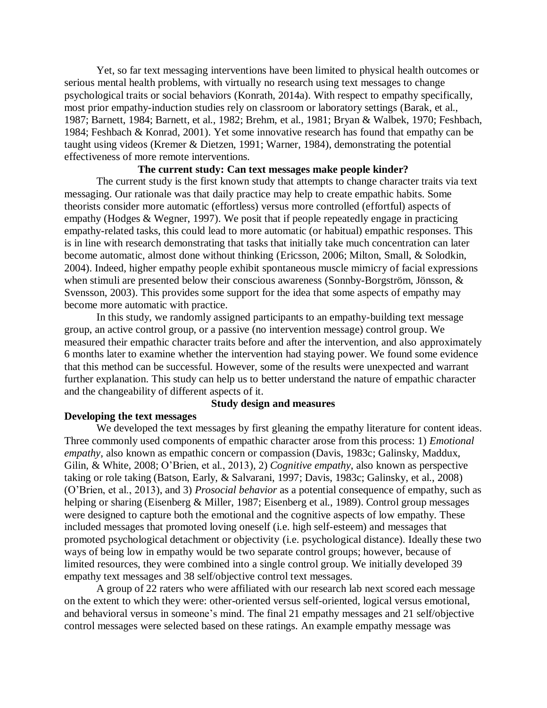Yet, so far text messaging interventions have been limited to physical health outcomes or serious mental health problems, with virtually no research using text messages to change psychological traits or social behaviors [\(Konrath, 2014a\)](#page-20-14). With respect to empathy specifically, most prior empathy-induction studies rely on classroom or laboratory settings [\(Barak, et al.,](#page-16-10)  [1987;](#page-16-10) [Barnett, 1984;](#page-16-9) [Barnett, et al., 1982;](#page-16-11) [Brehm, et al., 1981;](#page-17-13) [Bryan & Walbek, 1970;](#page-17-14) [Feshbach,](#page-19-9)  [1984;](#page-19-9) [Feshbach & Konrad, 2001\)](#page-19-10). Yet some innovative research has found that empathy can be taught using videos [\(Kremer & Dietzen, 1991;](#page-21-12) [Warner, 1984\)](#page-24-15), demonstrating the potential effectiveness of more remote interventions.

### **The current study: Can text messages make people kinder?**

The current study is the first known study that attempts to change character traits via text messaging. Our rationale was that daily practice may help to create empathic habits. Some theorists consider more automatic (effortless) versus more controlled (effortful) aspects of empathy [\(Hodges & Wegner, 1997\)](#page-19-15). We posit that if people repeatedly engage in practicing empathy-related tasks, this could lead to more automatic (or habitual) empathic responses. This is in line with research demonstrating that tasks that initially take much concentration can later become automatic, almost done without thinking [\(Ericsson, 2006;](#page-18-15) [Milton, Small, & Solodkin,](#page-21-16)  [2004\)](#page-21-16). Indeed, higher empathy people exhibit spontaneous muscle mimicry of facial expressions when stimuli are presented below their conscious awareness [\(Sonnby-Borgström, Jönsson, &](#page-23-11)  [Svensson, 2003\)](#page-23-11). This provides some support for the idea that some aspects of empathy may become more automatic with practice.

In this study, we randomly assigned participants to an empathy-building text message group, an active control group, or a passive (no intervention message) control group. We measured their empathic character traits before and after the intervention, and also approximately 6 months later to examine whether the intervention had staying power. We found some evidence that this method can be successful. However, some of the results were unexpected and warrant further explanation. This study can help us to better understand the nature of empathic character and the changeability of different aspects of it.

### **Developing the text messages**

### **Study design and measures**

We developed the text messages by first gleaning the empathy literature for content ideas. Three commonly used components of empathic character arose from this process: 1) *Emotional empathy*, also known as empathic concern or compassion [\(Davis, 1983c;](#page-18-0) [Galinsky, Maddux,](#page-19-16)  [Gilin, & White, 2008;](#page-19-16) [O'Brien, et al., 2013\)](#page-22-9), 2) *Cognitive empathy*, also known as perspective taking or role taking [\(Batson, Early, & Salvarani, 1997;](#page-16-14) [Davis, 1983c;](#page-18-0) [Galinsky, et al., 2008\)](#page-19-16) [\(O'Brien, et al., 2013\)](#page-22-9), and 3) *Prosocial behavior* as a potential consequence of empathy, such as helping or sharing [\(Eisenberg & Miller, 1987;](#page-18-3) [Eisenberg et al., 1989\)](#page-18-16). Control group messages were designed to capture both the emotional and the cognitive aspects of low empathy. These included messages that promoted loving oneself (i.e. high self-esteem) and messages that promoted psychological detachment or objectivity (i.e. psychological distance). Ideally these two ways of being low in empathy would be two separate control groups; however, because of limited resources, they were combined into a single control group. We initially developed 39 empathy text messages and 38 self/objective control text messages.

A group of 22 raters who were affiliated with our research lab next scored each message on the extent to which they were: other-oriented versus self-oriented, logical versus emotional, and behavioral versus in someone's mind. The final 21 empathy messages and 21 self/objective control messages were selected based on these ratings. An example empathy message was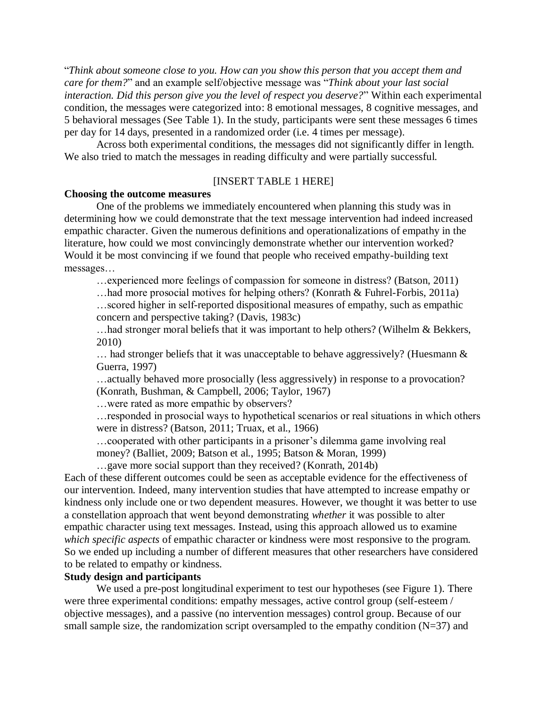"*Think about someone close to you. How can you show this person that you accept them and care for them?*" and an example self/objective message was "*Think about your last social interaction. Did this person give you the level of respect you deserve?*" Within each experimental condition, the messages were categorized into: 8 emotional messages, 8 cognitive messages, and 5 behavioral messages (See Table 1). In the study, participants were sent these messages 6 times per day for 14 days, presented in a randomized order (i.e. 4 times per message).

Across both experimental conditions, the messages did not significantly differ in length. We also tried to match the messages in reading difficulty and were partially successful.

### [INSERT TABLE 1 HERE]

### **Choosing the outcome measures**

One of the problems we immediately encountered when planning this study was in determining how we could demonstrate that the text message intervention had indeed increased empathic character. Given the numerous definitions and operationalizations of empathy in the literature, how could we most convincingly demonstrate whether our intervention worked? Would it be most convincing if we found that people who received empathy-building text messages…

…experienced more feelings of compassion for someone in distress? [\(Batson, 2011\)](#page-16-0)

…had more prosocial motives for helping others? [\(Konrath & Fuhrel-Forbis, 2011a\)](#page-20-15)

…scored higher in self-reported dispositional measures of empathy, such as empathic concern and perspective taking? [\(Davis, 1983c\)](#page-18-0)

…had stronger moral beliefs that it was important to help others? [\(Wilhelm & Bekkers,](#page-24-4)  [2010\)](#page-24-4)

… had stronger beliefs that it was unacceptable to behave aggressively? [\(Huesmann &](#page-19-17)  [Guerra, 1997\)](#page-19-17)

…actually behaved more prosocially (less aggressively) in response to a provocation? [\(Konrath, Bushman, & Campbell, 2006;](#page-20-16) [Taylor, 1967\)](#page-23-12)

…were rated as more empathic by observers?

…responded in prosocial ways to hypothetical scenarios or real situations in which others were in distress? [\(Batson, 2011;](#page-16-0) [Truax, et al., 1966\)](#page-24-1)

…cooperated with other participants in a prisoner's dilemma game involving real money? [\(Balliet, 2009;](#page-16-15) [Batson et al., 1995;](#page-16-16) [Batson & Moran, 1999\)](#page-17-19)

…gave more social support than they received? [\(Konrath, 2014b\)](#page-20-17)

Each of these different outcomes could be seen as acceptable evidence for the effectiveness of our intervention. Indeed, many intervention studies that have attempted to increase empathy or kindness only include one or two dependent measures. However, we thought it was better to use a constellation approach that went beyond demonstrating *whether* it was possible to alter empathic character using text messages. Instead, using this approach allowed us to examine *which specific aspects* of empathic character or kindness were most responsive to the program. So we ended up including a number of different measures that other researchers have considered to be related to empathy or kindness.

## **Study design and participants**

We used a pre-post longitudinal experiment to test our hypotheses (see Figure 1). There were three experimental conditions: empathy messages, active control group (self-esteem / objective messages), and a passive (no intervention messages) control group. Because of our small sample size, the randomization script oversampled to the empathy condition  $(N=37)$  and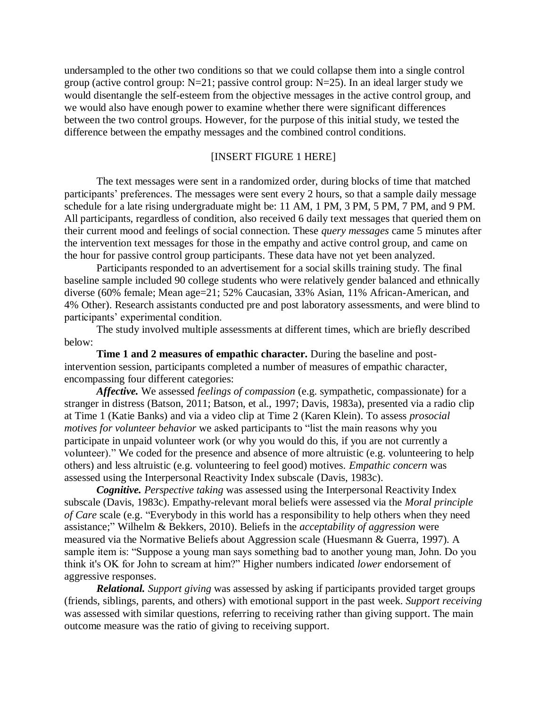undersampled to the other two conditions so that we could collapse them into a single control group (active control group:  $N=21$ ; passive control group:  $N=25$ ). In an ideal larger study we would disentangle the self-esteem from the objective messages in the active control group, and we would also have enough power to examine whether there were significant differences between the two control groups. However, for the purpose of this initial study, we tested the difference between the empathy messages and the combined control conditions.

### [INSERT FIGURE 1 HERE]

The text messages were sent in a randomized order, during blocks of time that matched participants' preferences. The messages were sent every 2 hours, so that a sample daily message schedule for a late rising undergraduate might be: 11 AM, 1 PM, 3 PM, 5 PM, 7 PM, and 9 PM. All participants, regardless of condition, also received 6 daily text messages that queried them on their current mood and feelings of social connection. These *query messages* came 5 minutes after the intervention text messages for those in the empathy and active control group, and came on the hour for passive control group participants. These data have not yet been analyzed.

Participants responded to an advertisement for a social skills training study. The final baseline sample included 90 college students who were relatively gender balanced and ethnically diverse (60% female; Mean age=21; 52% Caucasian, 33% Asian, 11% African-American, and 4% Other). Research assistants conducted pre and post laboratory assessments, and were blind to participants' experimental condition.

The study involved multiple assessments at different times, which are briefly described below:

**Time 1 and 2 measures of empathic character.** During the baseline and postintervention session, participants completed a number of measures of empathic character, encompassing four different categories:

*Affective.* We assessed *feelings of compassion* (e.g. sympathetic, compassionate) for a stranger in distress [\(Batson, 2011;](#page-16-0) [Batson, et al., 1997;](#page-16-14) [Davis, 1983a\)](#page-18-17), presented via a radio clip at Time 1 (Katie Banks) and via a video clip at Time 2 (Karen Klein). To assess *prosocial motives for volunteer behavior* we asked participants to "list the main reasons why you participate in unpaid volunteer work (or why you would do this, if you are not currently a volunteer)." We coded for the presence and absence of more altruistic (e.g. volunteering to help others) and less altruistic (e.g. volunteering to feel good) motives. *Empathic concern* was assessed using the Interpersonal Reactivity Index subscale [\(Davis, 1983c\)](#page-18-0).

*Cognitive. Perspective taking* was assessed using the Interpersonal Reactivity Index subscale [\(Davis, 1983c\)](#page-18-0). Empathy-relevant moral beliefs were assessed via the *Moral principle of Care* scale (e.g. "Everybody in this world has a responsibility to help others when they need assistance;" [Wilhelm & Bekkers, 2010\)](#page-24-4). Beliefs in the *acceptability of aggression* were measured via the Normative Beliefs about Aggression scale [\(Huesmann & Guerra, 1997\)](#page-19-17). A sample item is: "Suppose a young man says something bad to another young man, John. Do you think it's OK for John to scream at him?" Higher numbers indicated *lower* endorsement of aggressive responses.

*Relational. Support giving* was assessed by asking if participants provided target groups (friends, siblings, parents, and others) with emotional support in the past week. *Support receiving* was assessed with similar questions, referring to receiving rather than giving support. The main outcome measure was the ratio of giving to receiving support.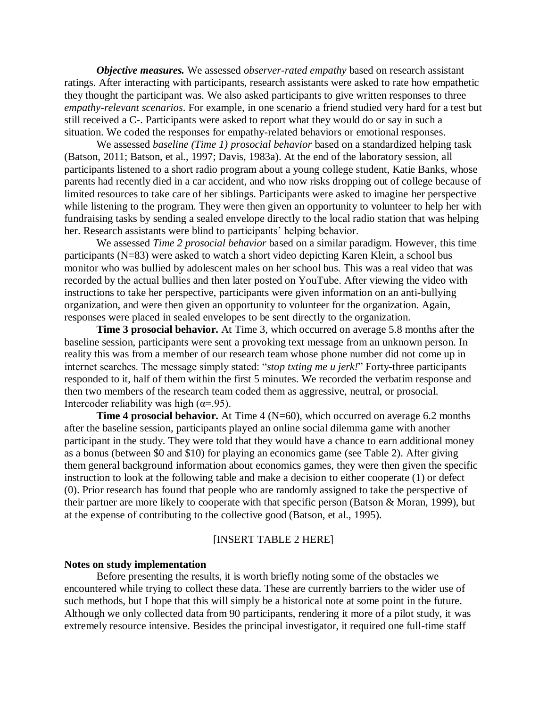*Objective measures.* We assessed *observer-rated empathy* based on research assistant ratings. After interacting with participants, research assistants were asked to rate how empathetic they thought the participant was. We also asked participants to give written responses to three *empathy-relevant scenarios*. For example, in one scenario a friend studied very hard for a test but still received a C-. Participants were asked to report what they would do or say in such a situation. We coded the responses for empathy-related behaviors or emotional responses.

We assessed *baseline (Time 1) prosocial behavior* based on a standardized helping task [\(Batson, 2011;](#page-16-0) [Batson, et al., 1997;](#page-16-14) [Davis, 1983a\)](#page-18-17). At the end of the laboratory session, all participants listened to a short radio program about a young college student, Katie Banks, whose parents had recently died in a car accident, and who now risks dropping out of college because of limited resources to take care of her siblings. Participants were asked to imagine her perspective while listening to the program. They were then given an opportunity to volunteer to help her with fundraising tasks by sending a sealed envelope directly to the local radio station that was helping her. Research assistants were blind to participants' helping behavior.

We assessed *Time 2 prosocial behavior* based on a similar paradigm. However, this time participants (N=83) were asked to watch a short video depicting Karen Klein, a school bus monitor who was bullied by adolescent males on her school bus. This was a real video that was recorded by the actual bullies and then later posted on YouTube. After viewing the video with instructions to take her perspective, participants were given information on an anti-bullying organization, and were then given an opportunity to volunteer for the organization. Again, responses were placed in sealed envelopes to be sent directly to the organization.

**Time 3 prosocial behavior.** At Time 3, which occurred on average 5.8 months after the baseline session, participants were sent a provoking text message from an unknown person. In reality this was from a member of our research team whose phone number did not come up in internet searches. The message simply stated: "*stop txting me u jerk!*" Forty-three participants responded to it, half of them within the first 5 minutes. We recorded the verbatim response and then two members of the research team coded them as aggressive, neutral, or prosocial. Intercoder reliability was high ( $\alpha$ =.95).

**Time 4 prosocial behavior.** At Time 4 (N=60), which occurred on average 6.2 months after the baseline session, participants played an online social dilemma game with another participant in the study. They were told that they would have a chance to earn additional money as a bonus (between \$0 and \$10) for playing an economics game (see Table 2). After giving them general background information about economics games, they were then given the specific instruction to look at the following table and make a decision to either cooperate (1) or defect (0). Prior research has found that people who are randomly assigned to take the perspective of their partner are more likely to cooperate with that specific person [\(Batson & Moran, 1999\)](#page-17-19), but at the expense of contributing to the collective good [\(Batson, et al., 1995\)](#page-16-16).

#### [INSERT TABLE 2 HERE]

#### **Notes on study implementation**

Before presenting the results, it is worth briefly noting some of the obstacles we encountered while trying to collect these data. These are currently barriers to the wider use of such methods, but I hope that this will simply be a historical note at some point in the future. Although we only collected data from 90 participants, rendering it more of a pilot study, it was extremely resource intensive. Besides the principal investigator, it required one full-time staff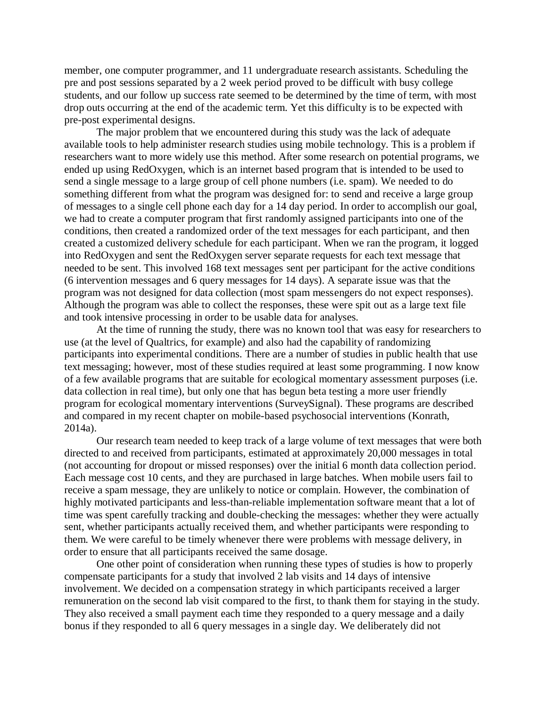member, one computer programmer, and 11 undergraduate research assistants. Scheduling the pre and post sessions separated by a 2 week period proved to be difficult with busy college students, and our follow up success rate seemed to be determined by the time of term, with most drop outs occurring at the end of the academic term. Yet this difficulty is to be expected with pre-post experimental designs.

The major problem that we encountered during this study was the lack of adequate available tools to help administer research studies using mobile technology. This is a problem if researchers want to more widely use this method. After some research on potential programs, we ended up using RedOxygen, which is an internet based program that is intended to be used to send a single message to a large group of cell phone numbers (i.e. spam). We needed to do something different from what the program was designed for: to send and receive a large group of messages to a single cell phone each day for a 14 day period. In order to accomplish our goal, we had to create a computer program that first randomly assigned participants into one of the conditions, then created a randomized order of the text messages for each participant, and then created a customized delivery schedule for each participant. When we ran the program, it logged into RedOxygen and sent the RedOxygen server separate requests for each text message that needed to be sent. This involved 168 text messages sent per participant for the active conditions (6 intervention messages and 6 query messages for 14 days). A separate issue was that the program was not designed for data collection (most spam messengers do not expect responses). Although the program was able to collect the responses, these were spit out as a large text file and took intensive processing in order to be usable data for analyses.

At the time of running the study, there was no known tool that was easy for researchers to use (at the level of Qualtrics, for example) and also had the capability of randomizing participants into experimental conditions. There are a number of studies in public health that use text messaging; however, most of these studies required at least some programming. I now know of a few available programs that are suitable for ecological momentary assessment purposes (i.e. data collection in real time), but only one that has begun beta testing a more user friendly program for ecological momentary interventions (SurveySignal). These programs are described and compared in my recent chapter on mobile-based psychosocial interventions [\(Konrath,](#page-20-14)  [2014a\)](#page-20-14).

Our research team needed to keep track of a large volume of text messages that were both directed to and received from participants, estimated at approximately 20,000 messages in total (not accounting for dropout or missed responses) over the initial 6 month data collection period. Each message cost 10 cents, and they are purchased in large batches. When mobile users fail to receive a spam message, they are unlikely to notice or complain. However, the combination of highly motivated participants and less-than-reliable implementation software meant that a lot of time was spent carefully tracking and double-checking the messages: whether they were actually sent, whether participants actually received them, and whether participants were responding to them. We were careful to be timely whenever there were problems with message delivery, in order to ensure that all participants received the same dosage.

One other point of consideration when running these types of studies is how to properly compensate participants for a study that involved 2 lab visits and 14 days of intensive involvement. We decided on a compensation strategy in which participants received a larger remuneration on the second lab visit compared to the first, to thank them for staying in the study. They also received a small payment each time they responded to a query message and a daily bonus if they responded to all 6 query messages in a single day. We deliberately did not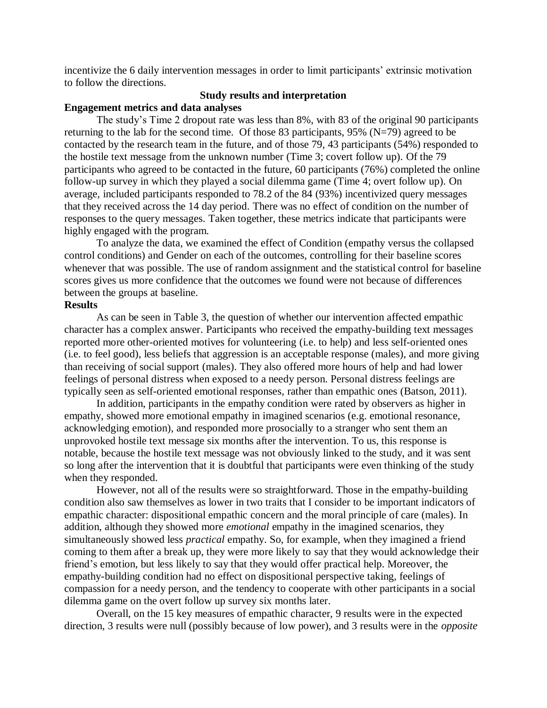incentivize the 6 daily intervention messages in order to limit participants' extrinsic motivation to follow the directions.

# **Study results and interpretation**

### **Engagement metrics and data analyses**

The study's Time 2 dropout rate was less than 8%, with 83 of the original 90 participants returning to the lab for the second time. Of those 83 participants,  $95\%$  (N=79) agreed to be contacted by the research team in the future, and of those 79, 43 participants (54%) responded to the hostile text message from the unknown number (Time 3; covert follow up). Of the 79 participants who agreed to be contacted in the future, 60 participants (76%) completed the online follow-up survey in which they played a social dilemma game (Time 4; overt follow up). On average, included participants responded to 78.2 of the 84 (93%) incentivized query messages that they received across the 14 day period. There was no effect of condition on the number of responses to the query messages. Taken together, these metrics indicate that participants were highly engaged with the program.

To analyze the data, we examined the effect of Condition (empathy versus the collapsed control conditions) and Gender on each of the outcomes, controlling for their baseline scores whenever that was possible. The use of random assignment and the statistical control for baseline scores gives us more confidence that the outcomes we found were not because of differences between the groups at baseline.

### **Results**

As can be seen in Table 3, the question of whether our intervention affected empathic character has a complex answer. Participants who received the empathy-building text messages reported more other-oriented motives for volunteering (i.e. to help) and less self-oriented ones (i.e. to feel good), less beliefs that aggression is an acceptable response (males), and more giving than receiving of social support (males). They also offered more hours of help and had lower feelings of personal distress when exposed to a needy person. Personal distress feelings are typically seen as self-oriented emotional responses, rather than empathic ones [\(Batson, 2011\)](#page-16-0).

In addition, participants in the empathy condition were rated by observers as higher in empathy, showed more emotional empathy in imagined scenarios (e.g. emotional resonance, acknowledging emotion), and responded more prosocially to a stranger who sent them an unprovoked hostile text message six months after the intervention. To us, this response is notable, because the hostile text message was not obviously linked to the study, and it was sent so long after the intervention that it is doubtful that participants were even thinking of the study when they responded.

However, not all of the results were so straightforward. Those in the empathy-building condition also saw themselves as lower in two traits that I consider to be important indicators of empathic character: dispositional empathic concern and the moral principle of care (males). In addition, although they showed more *emotional* empathy in the imagined scenarios, they simultaneously showed less *practical* empathy. So, for example, when they imagined a friend coming to them after a break up, they were more likely to say that they would acknowledge their friend's emotion, but less likely to say that they would offer practical help. Moreover, the empathy-building condition had no effect on dispositional perspective taking, feelings of compassion for a needy person, and the tendency to cooperate with other participants in a social dilemma game on the overt follow up survey six months later.

Overall, on the 15 key measures of empathic character, 9 results were in the expected direction, 3 results were null (possibly because of low power), and 3 results were in the *opposite*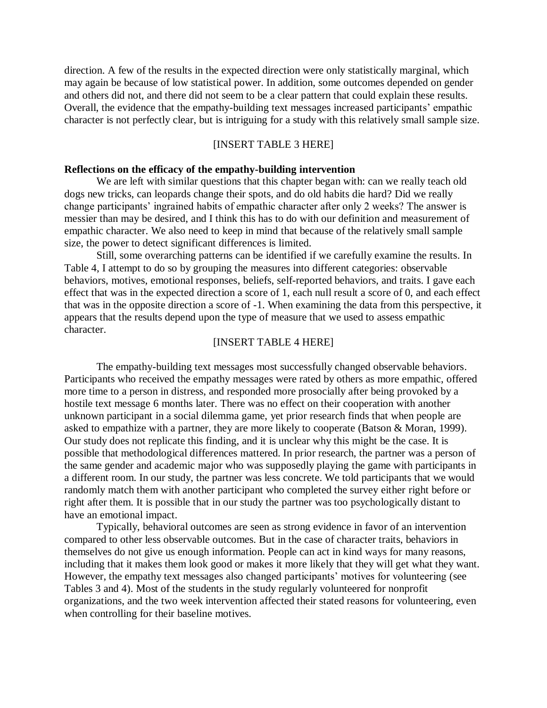direction. A few of the results in the expected direction were only statistically marginal, which may again be because of low statistical power. In addition, some outcomes depended on gender and others did not, and there did not seem to be a clear pattern that could explain these results. Overall, the evidence that the empathy-building text messages increased participants' empathic character is not perfectly clear, but is intriguing for a study with this relatively small sample size.

### [INSERT TABLE 3 HERE]

### **Reflections on the efficacy of the empathy-building intervention**

We are left with similar questions that this chapter began with: can we really teach old dogs new tricks, can leopards change their spots, and do old habits die hard? Did we really change participants' ingrained habits of empathic character after only 2 weeks? The answer is messier than may be desired, and I think this has to do with our definition and measurement of empathic character. We also need to keep in mind that because of the relatively small sample size, the power to detect significant differences is limited.

Still, some overarching patterns can be identified if we carefully examine the results. In Table 4, I attempt to do so by grouping the measures into different categories: observable behaviors, motives, emotional responses, beliefs, self-reported behaviors, and traits. I gave each effect that was in the expected direction a score of 1, each null result a score of 0, and each effect that was in the opposite direction a score of -1. When examining the data from this perspective, it appears that the results depend upon the type of measure that we used to assess empathic character.

### [INSERT TABLE 4 HERE]

The empathy-building text messages most successfully changed observable behaviors. Participants who received the empathy messages were rated by others as more empathic, offered more time to a person in distress, and responded more prosocially after being provoked by a hostile text message 6 months later. There was no effect on their cooperation with another unknown participant in a social dilemma game, yet prior research finds that when people are asked to empathize with a partner, they are more likely to cooperate [\(Batson & Moran, 1999\)](#page-17-19). Our study does not replicate this finding, and it is unclear why this might be the case. It is possible that methodological differences mattered. In prior research, the partner was a person of the same gender and academic major who was supposedly playing the game with participants in a different room. In our study, the partner was less concrete. We told participants that we would randomly match them with another participant who completed the survey either right before or right after them. It is possible that in our study the partner was too psychologically distant to have an emotional impact.

Typically, behavioral outcomes are seen as strong evidence in favor of an intervention compared to other less observable outcomes. But in the case of character traits, behaviors in themselves do not give us enough information. People can act in kind ways for many reasons, including that it makes them look good or makes it more likely that they will get what they want. However, the empathy text messages also changed participants' motives for volunteering (see Tables 3 and 4). Most of the students in the study regularly volunteered for nonprofit organizations, and the two week intervention affected their stated reasons for volunteering, even when controlling for their baseline motives.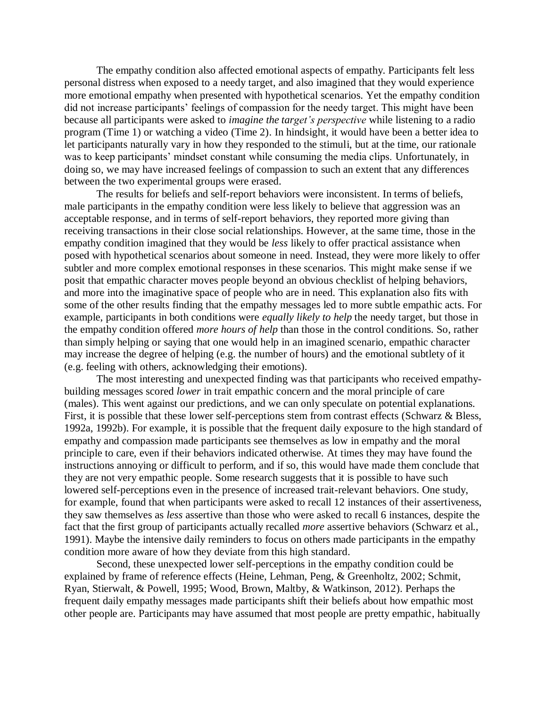The empathy condition also affected emotional aspects of empathy. Participants felt less personal distress when exposed to a needy target, and also imagined that they would experience more emotional empathy when presented with hypothetical scenarios. Yet the empathy condition did not increase participants' feelings of compassion for the needy target. This might have been because all participants were asked to *imagine the target's perspective* while listening to a radio program (Time 1) or watching a video (Time 2). In hindsight, it would have been a better idea to let participants naturally vary in how they responded to the stimuli, but at the time, our rationale was to keep participants' mindset constant while consuming the media clips. Unfortunately, in doing so, we may have increased feelings of compassion to such an extent that any differences between the two experimental groups were erased.

The results for beliefs and self-report behaviors were inconsistent. In terms of beliefs, male participants in the empathy condition were less likely to believe that aggression was an acceptable response, and in terms of self-report behaviors, they reported more giving than receiving transactions in their close social relationships. However, at the same time, those in the empathy condition imagined that they would be *less* likely to offer practical assistance when posed with hypothetical scenarios about someone in need. Instead, they were more likely to offer subtler and more complex emotional responses in these scenarios. This might make sense if we posit that empathic character moves people beyond an obvious checklist of helping behaviors, and more into the imaginative space of people who are in need. This explanation also fits with some of the other results finding that the empathy messages led to more subtle empathic acts. For example, participants in both conditions were *equally likely to help* the needy target, but those in the empathy condition offered *more hours of help* than those in the control conditions. So, rather than simply helping or saying that one would help in an imagined scenario, empathic character may increase the degree of helping (e.g. the number of hours) and the emotional subtlety of it (e.g. feeling with others, acknowledging their emotions).

The most interesting and unexpected finding was that participants who received empathybuilding messages scored *lower* in trait empathic concern and the moral principle of care (males). This went against our predictions, and we can only speculate on potential explanations. First, it is possible that these lower self-perceptions stem from contrast effects (Schwarz & Bless, [1992a,](#page-23-13) [1992b\)](#page-23-14). For example, it is possible that the frequent daily exposure to the high standard of empathy and compassion made participants see themselves as low in empathy and the moral principle to care, even if their behaviors indicated otherwise. At times they may have found the instructions annoying or difficult to perform, and if so, this would have made them conclude that they are not very empathic people. Some research suggests that it is possible to have such lowered self-perceptions even in the presence of increased trait-relevant behaviors. One study, for example, found that when participants were asked to recall 12 instances of their assertiveness, they saw themselves as *less* assertive than those who were asked to recall 6 instances, despite the fact that the first group of participants actually recalled *more* assertive behaviors [\(Schwarz et al.,](#page-23-15)  [1991\)](#page-23-15). Maybe the intensive daily reminders to focus on others made participants in the empathy condition more aware of how they deviate from this high standard.

Second, these unexpected lower self-perceptions in the empathy condition could be explained by frame of reference effects [\(Heine, Lehman, Peng, & Greenholtz, 2002;](#page-19-18) [Schmit,](#page-23-16)  [Ryan, Stierwalt, & Powell, 1995;](#page-23-16) [Wood, Brown, Maltby, & Watkinson, 2012\)](#page-25-6). Perhaps the frequent daily empathy messages made participants shift their beliefs about how empathic most other people are. Participants may have assumed that most people are pretty empathic, habitually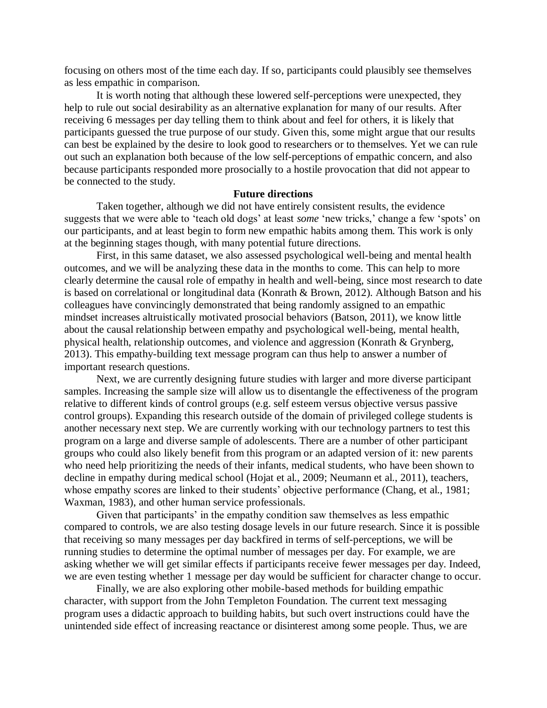focusing on others most of the time each day. If so, participants could plausibly see themselves as less empathic in comparison.

It is worth noting that although these lowered self-perceptions were unexpected, they help to rule out social desirability as an alternative explanation for many of our results. After receiving 6 messages per day telling them to think about and feel for others, it is likely that participants guessed the true purpose of our study. Given this, some might argue that our results can best be explained by the desire to look good to researchers or to themselves. Yet we can rule out such an explanation both because of the low self-perceptions of empathic concern, and also because participants responded more prosocially to a hostile provocation that did not appear to be connected to the study.

#### **Future directions**

Taken together, although we did not have entirely consistent results, the evidence suggests that we were able to 'teach old dogs' at least *some* 'new tricks,' change a few 'spots' on our participants, and at least begin to form new empathic habits among them. This work is only at the beginning stages though, with many potential future directions.

First, in this same dataset, we also assessed psychological well-being and mental health outcomes, and we will be analyzing these data in the months to come. This can help to more clearly determine the causal role of empathy in health and well-being, since most research to date is based on correlational or longitudinal data [\(Konrath & Brown, 2012\)](#page-20-2). Although Batson and his colleagues have convincingly demonstrated that being randomly assigned to an empathic mindset increases altruistically motivated prosocial behaviors [\(Batson, 2011\)](#page-16-0), we know little about the causal relationship between empathy and psychological well-being, mental health, physical health, relationship outcomes, and violence and aggression [\(Konrath & Grynberg,](#page-20-18)  [2013\)](#page-20-18). This empathy-building text message program can thus help to answer a number of important research questions.

Next, we are currently designing future studies with larger and more diverse participant samples. Increasing the sample size will allow us to disentangle the effectiveness of the program relative to different kinds of control groups (e.g. self esteem versus objective versus passive control groups). Expanding this research outside of the domain of privileged college students is another necessary next step. We are currently working with our technology partners to test this program on a large and diverse sample of adolescents. There are a number of other participant groups who could also likely benefit from this program or an adapted version of it: new parents who need help prioritizing the needs of their infants, medical students, who have been shown to decline in empathy during medical school [\(Hojat et al., 2009;](#page-19-19) [Neumann et al., 2011\)](#page-21-17), teachers, whose empathy scores are linked to their students' objective performance [\(Chang, et al., 1981;](#page-17-9) [Waxman, 1983\)](#page-24-6), and other human service professionals.

Given that participants' in the empathy condition saw themselves as less empathic compared to controls, we are also testing dosage levels in our future research. Since it is possible that receiving so many messages per day backfired in terms of self-perceptions, we will be running studies to determine the optimal number of messages per day. For example, we are asking whether we will get similar effects if participants receive fewer messages per day. Indeed, we are even testing whether 1 message per day would be sufficient for character change to occur.

Finally, we are also exploring other mobile-based methods for building empathic character, with support from the John Templeton Foundation. The current text messaging program uses a didactic approach to building habits, but such overt instructions could have the unintended side effect of increasing reactance or disinterest among some people. Thus, we are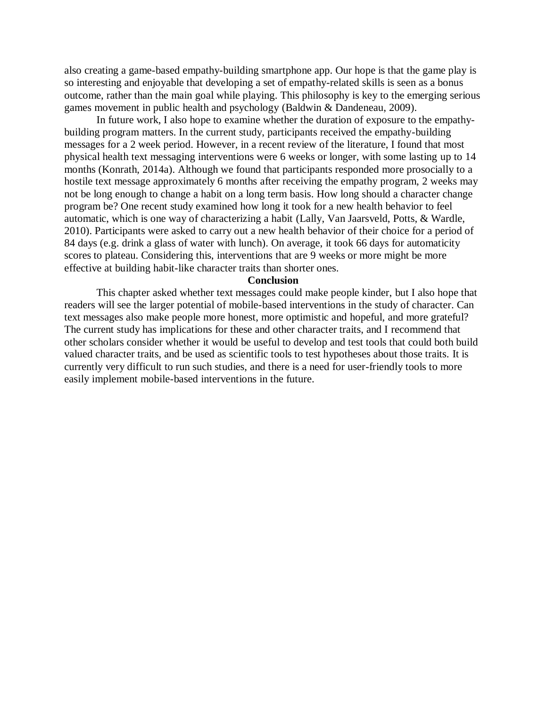also creating a game-based empathy-building smartphone app. Our hope is that the game play is so interesting and enjoyable that developing a set of empathy-related skills is seen as a bonus outcome, rather than the main goal while playing. This philosophy is key to the emerging serious games movement in public health and psychology [\(Baldwin & Dandeneau, 2009\)](#page-16-17).

In future work, I also hope to examine whether the duration of exposure to the empathybuilding program matters. In the current study, participants received the empathy-building messages for a 2 week period. However, in a recent review of the literature, I found that most physical health text messaging interventions were 6 weeks or longer, with some lasting up to 14 months [\(Konrath, 2014a\)](#page-20-14). Although we found that participants responded more prosocially to a hostile text message approximately 6 months after receiving the empathy program, 2 weeks may not be long enough to change a habit on a long term basis. How long should a character change program be? One recent study examined how long it took for a new health behavior to feel automatic, which is one way of characterizing a habit [\(Lally, Van Jaarsveld, Potts, & Wardle,](#page-21-18)  [2010\)](#page-21-18). Participants were asked to carry out a new health behavior of their choice for a period of 84 days (e.g. drink a glass of water with lunch). On average, it took 66 days for automaticity scores to plateau. Considering this, interventions that are 9 weeks or more might be more effective at building habit-like character traits than shorter ones.

### **Conclusion**

This chapter asked whether text messages could make people kinder, but I also hope that readers will see the larger potential of mobile-based interventions in the study of character. Can text messages also make people more honest, more optimistic and hopeful, and more grateful? The current study has implications for these and other character traits, and I recommend that other scholars consider whether it would be useful to develop and test tools that could both build valued character traits, and be used as scientific tools to test hypotheses about those traits. It is currently very difficult to run such studies, and there is a need for user-friendly tools to more easily implement mobile-based interventions in the future.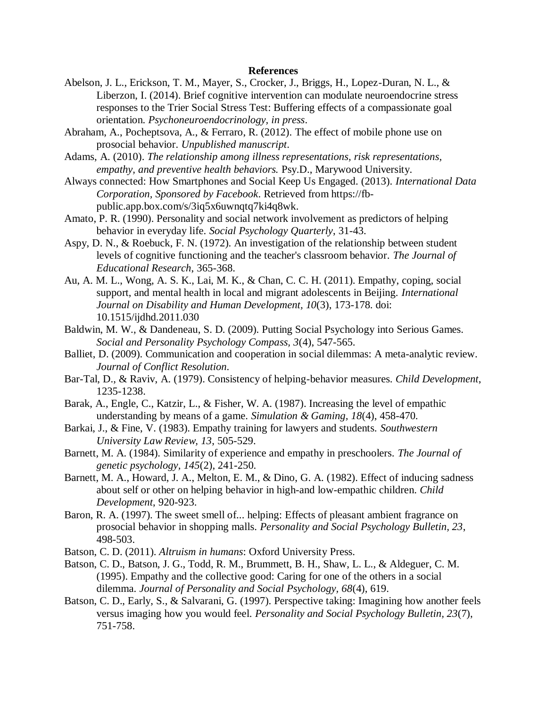### **References**

- <span id="page-16-5"></span>Abelson, J. L., Erickson, T. M., Mayer, S., Crocker, J., Briggs, H., Lopez-Duran, N. L., & Liberzon, I. (2014). Brief cognitive intervention can modulate neuroendocrine stress responses to the Trier Social Stress Test: Buffering effects of a compassionate goal orientation. *Psychoneuroendocrinology, in press*.
- <span id="page-16-12"></span>Abraham, A., Pocheptsova, A., & Ferraro, R. (2012). The effect of mobile phone use on prosocial behavior. *Unpublished manuscript*.
- <span id="page-16-6"></span>Adams, A. (2010). *The relationship among illness representations, risk representations, empathy, and preventive health behaviors.* Psy.D., Marywood University.
- <span id="page-16-13"></span>Always connected: How Smartphones and Social Keep Us Engaged. (2013). *International Data Corporation, Sponsored by Facebook*. Retrieved from https://fbpublic.app.box.com/s/3iq5x6uwnqtq7ki4q8wk.
- <span id="page-16-3"></span>Amato, P. R. (1990). Personality and social network involvement as predictors of helping behavior in everyday life. *Social Psychology Quarterly*, 31-43.
- <span id="page-16-7"></span>Aspy, D. N., & Roebuck, F. N. (1972). An investigation of the relationship between student levels of cognitive functioning and the teacher's classroom behavior. *The Journal of Educational Research*, 365-368.
- <span id="page-16-4"></span>Au, A. M. L., Wong, A. S. K., Lai, M. K., & Chan, C. C. H. (2011). Empathy, coping, social support, and mental health in local and migrant adolescents in Beijing. *International Journal on Disability and Human Development, 10*(3), 173-178. doi: 10.1515/ijdhd.2011.030
- <span id="page-16-17"></span>Baldwin, M. W., & Dandeneau, S. D. (2009). Putting Social Psychology into Serious Games. *Social and Personality Psychology Compass, 3*(4), 547-565.
- <span id="page-16-15"></span>Balliet, D. (2009). Communication and cooperation in social dilemmas: A meta-analytic review. *Journal of Conflict Resolution*.
- <span id="page-16-2"></span>Bar-Tal, D., & Raviv, A. (1979). Consistency of helping-behavior measures. *Child Development*, 1235-1238.
- <span id="page-16-10"></span>Barak, A., Engle, C., Katzir, L., & Fisher, W. A. (1987). Increasing the level of empathic understanding by means of a game. *Simulation & Gaming, 18*(4), 458-470.
- <span id="page-16-1"></span>Barkai, J., & Fine, V. (1983). Empathy training for lawyers and students. *Southwestern University Law Review, 13*, 505-529.
- <span id="page-16-9"></span>Barnett, M. A. (1984). Similarity of experience and empathy in preschoolers. *The Journal of genetic psychology, 145*(2), 241-250.
- <span id="page-16-11"></span>Barnett, M. A., Howard, J. A., Melton, E. M., & Dino, G. A. (1982). Effect of inducing sadness about self or other on helping behavior in high-and low-empathic children. *Child Development*, 920-923.
- <span id="page-16-8"></span>Baron, R. A. (1997). The sweet smell of... helping: Effects of pleasant ambient fragrance on prosocial behavior in shopping malls. *Personality and Social Psychology Bulletin, 23*, 498-503.
- <span id="page-16-0"></span>Batson, C. D. (2011). *Altruism in humans*: Oxford University Press.
- <span id="page-16-16"></span>Batson, C. D., Batson, J. G., Todd, R. M., Brummett, B. H., Shaw, L. L., & Aldeguer, C. M. (1995). Empathy and the collective good: Caring for one of the others in a social dilemma. *Journal of Personality and Social Psychology, 68*(4), 619.
- <span id="page-16-14"></span>Batson, C. D., Early, S., & Salvarani, G. (1997). Perspective taking: Imagining how another feels versus imaging how you would feel. *Personality and Social Psychology Bulletin, 23*(7), 751-758.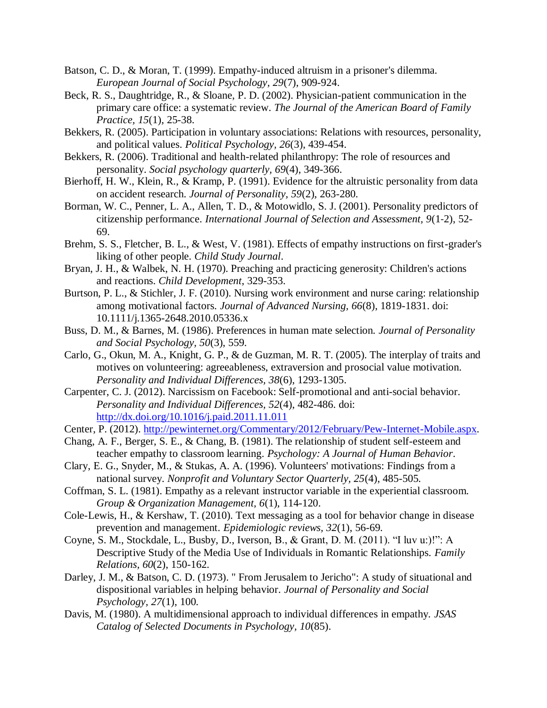- <span id="page-17-19"></span>Batson, C. D., & Moran, T. (1999). Empathy-induced altruism in a prisoner's dilemma. *European Journal of Social Psychology, 29*(7), 909-924.
- <span id="page-17-8"></span>Beck, R. S., Daughtridge, R., & Sloane, P. D. (2002). Physician-patient communication in the primary care office: a systematic review. *The Journal of the American Board of Family Practice, 15*(1), 25-38.
- <span id="page-17-3"></span>Bekkers, R. (2005). Participation in voluntary associations: Relations with resources, personality, and political values. *Political Psychology, 26*(3), 439-454.
- <span id="page-17-4"></span>Bekkers, R. (2006). Traditional and health-related philanthropy: The role of resources and personality. *Social psychology quarterly, 69*(4), 349-366.
- <span id="page-17-6"></span>Bierhoff, H. W., Klein, R., & Kramp, P. (1991). Evidence for the altruistic personality from data on accident research. *Journal of Personality, 59*(2), 263-280.
- <span id="page-17-1"></span>Borman, W. C., Penner, L. A., Allen, T. D., & Motowidlo, S. J. (2001). Personality predictors of citizenship performance. *International Journal of Selection and Assessment, 9*(1‐2), 52- 69.
- <span id="page-17-13"></span>Brehm, S. S., Fletcher, B. L., & West, V. (1981). Effects of empathy instructions on first-grader's liking of other people. *Child Study Journal*.
- <span id="page-17-14"></span>Bryan, J. H., & Walbek, N. H. (1970). Preaching and practicing generosity: Children's actions and reactions. *Child Development*, 329-353.
- <span id="page-17-7"></span>Burtson, P. L., & Stichler, J. F. (2010). Nursing work environment and nurse caring: relationship among motivational factors. *Journal of Advanced Nursing, 66*(8), 1819-1831. doi: 10.1111/j.1365-2648.2010.05336.x
- <span id="page-17-0"></span>Buss, D. M., & Barnes, M. (1986). Preferences in human mate selection. *Journal of Personality and Social Psychology, 50*(3), 559.
- <span id="page-17-2"></span>Carlo, G., Okun, M. A., Knight, G. P., & de Guzman, M. R. T. (2005). The interplay of traits and motives on volunteering: agreeableness, extraversion and prosocial value motivation. *Personality and Individual Differences, 38*(6), 1293-1305.
- <span id="page-17-15"></span>Carpenter, C. J. (2012). Narcissism on Facebook: Self-promotional and anti-social behavior. *Personality and Individual Differences, 52*(4), 482-486. doi: <http://dx.doi.org/10.1016/j.paid.2011.11.011>
- <span id="page-17-18"></span>Center, P. (2012). [http://pewinternet.org/Commentary/2012/February/Pew-Internet-Mobile.aspx.](http://pewinternet.org/Commentary/2012/February/Pew-Internet-Mobile.aspx)
- <span id="page-17-9"></span>Chang, A. F., Berger, S. E., & Chang, B. (1981). The relationship of student self-esteem and teacher empathy to classroom learning. *Psychology: A Journal of Human Behavior*.
- <span id="page-17-5"></span>Clary, E. G., Snyder, M., & Stukas, A. A. (1996). Volunteers' motivations: Findings from a national survey. *Nonprofit and Voluntary Sector Quarterly, 25*(4), 485-505.
- <span id="page-17-10"></span>Coffman, S. L. (1981). Empathy as a relevant instructor variable in the experiential classroom. *Group & Organization Management, 6*(1), 114-120.
- <span id="page-17-17"></span>Cole-Lewis, H., & Kershaw, T. (2010). Text messaging as a tool for behavior change in disease prevention and management. *Epidemiologic reviews, 32*(1), 56-69.
- <span id="page-17-16"></span>Coyne, S. M., Stockdale, L., Busby, D., Iverson, B., & Grant, D. M. (2011). "I luv u:)!": A Descriptive Study of the Media Use of Individuals in Romantic Relationships. *Family Relations, 60*(2), 150-162.
- <span id="page-17-12"></span>Darley, J. M., & Batson, C. D. (1973). " From Jerusalem to Jericho": A study of situational and dispositional variables in helping behavior. *Journal of Personality and Social Psychology, 27*(1), 100.
- <span id="page-17-11"></span>Davis, M. (1980). A multidimensional approach to individual differences in empathy. *JSAS Catalog of Selected Documents in Psychology, 10*(85).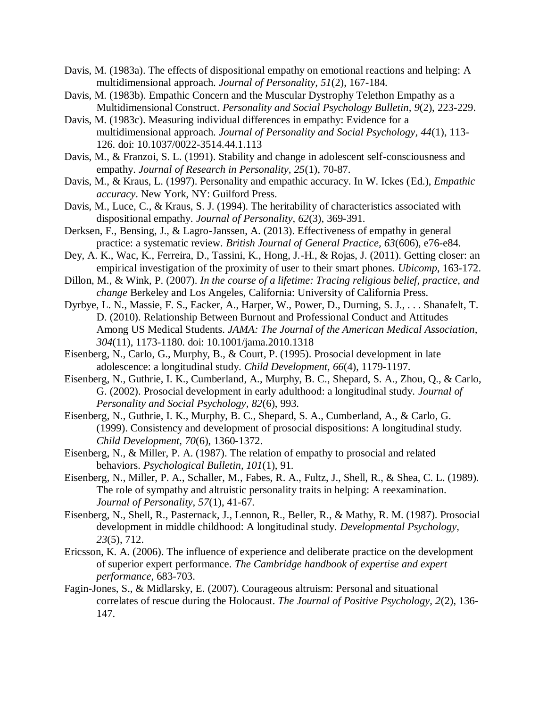- <span id="page-18-17"></span>Davis, M. (1983a). The effects of dispositional empathy on emotional reactions and helping: A multidimensional approach. *Journal of Personality, 51*(2), 167-184.
- <span id="page-18-2"></span>Davis, M. (1983b). Empathic Concern and the Muscular Dystrophy Telethon Empathy as a Multidimensional Construct. *Personality and Social Psychology Bulletin, 9*(2), 223-229.
- <span id="page-18-0"></span>Davis, M. (1983c). Measuring individual differences in empathy: Evidence for a multidimensional approach. *Journal of Personality and Social Psychology, 44*(1), 113- 126. doi: 10.1037/0022-3514.44.1.113
- <span id="page-18-9"></span>Davis, M., & Franzoi, S. L. (1991). Stability and change in adolescent self-consciousness and empathy. *Journal of Research in Personality, 25*(1), 70-87.
- <span id="page-18-1"></span>Davis, M., & Kraus, L. (1997). Personality and empathic accuracy. In W. Ickes (Ed.), *Empathic accuracy*. New York, NY: Guilford Press.
- <span id="page-18-8"></span>Davis, M., Luce, C., & Kraus, S. J. (1994). The heritability of characteristics associated with dispositional empathy. *Journal of Personality, 62*(3), 369-391.
- <span id="page-18-7"></span>Derksen, F., Bensing, J., & Lagro-Janssen, A. (2013). Effectiveness of empathy in general practice: a systematic review. *British Journal of General Practice, 63*(606), e76-e84.
- <span id="page-18-14"></span>Dey, A. K., Wac, K., Ferreira, D., Tassini, K., Hong, J.-H., & Rojas, J. (2011). Getting closer: an empirical investigation of the proximity of user to their smart phones. *Ubicomp*, 163-172.
- <span id="page-18-6"></span>Dillon, M., & Wink, P. (2007). *In the course of a lifetime: Tracing religious belief, practice, and change* Berkeley and Los Angeles, California: University of California Press.
- <span id="page-18-5"></span>Dyrbye, L. N., Massie, F. S., Eacker, A., Harper, W., Power, D., Durning, S. J., . . . Shanafelt, T. D. (2010). Relationship Between Burnout and Professional Conduct and Attitudes Among US Medical Students. *JAMA: The Journal of the American Medical Association, 304*(11), 1173-1180. doi: 10.1001/jama.2010.1318
- <span id="page-18-10"></span>Eisenberg, N., Carlo, G., Murphy, B., & Court, P. (1995). Prosocial development in late adolescence: a longitudinal study. *Child Development, 66*(4), 1179-1197.
- <span id="page-18-11"></span>Eisenberg, N., Guthrie, I. K., Cumberland, A., Murphy, B. C., Shepard, S. A., Zhou, Q., & Carlo, G. (2002). Prosocial development in early adulthood: a longitudinal study. *Journal of Personality and Social Psychology, 82*(6), 993.
- <span id="page-18-13"></span>Eisenberg, N., Guthrie, I. K., Murphy, B. C., Shepard, S. A., Cumberland, A., & Carlo, G. (1999). Consistency and development of prosocial dispositions: A longitudinal study. *Child Development, 70*(6), 1360-1372.
- <span id="page-18-3"></span>Eisenberg, N., & Miller, P. A. (1987). The relation of empathy to prosocial and related behaviors. *Psychological Bulletin, 101*(1), 91.
- <span id="page-18-16"></span>Eisenberg, N., Miller, P. A., Schaller, M., Fabes, R. A., Fultz, J., Shell, R., & Shea, C. L. (1989). The role of sympathy and altruistic personality traits in helping: A reexamination. *Journal of Personality, 57*(1), 41-67.
- <span id="page-18-12"></span>Eisenberg, N., Shell, R., Pasternack, J., Lennon, R., Beller, R., & Mathy, R. M. (1987). Prosocial development in middle childhood: A longitudinal study. *Developmental Psychology, 23*(5), 712.
- <span id="page-18-15"></span>Ericsson, K. A. (2006). The influence of experience and deliberate practice on the development of superior expert performance. *The Cambridge handbook of expertise and expert performance*, 683-703.
- <span id="page-18-4"></span>Fagin-Jones, S., & Midlarsky, E. (2007). Courageous altruism: Personal and situational correlates of rescue during the Holocaust. *The Journal of Positive Psychology, 2*(2), 136- 147.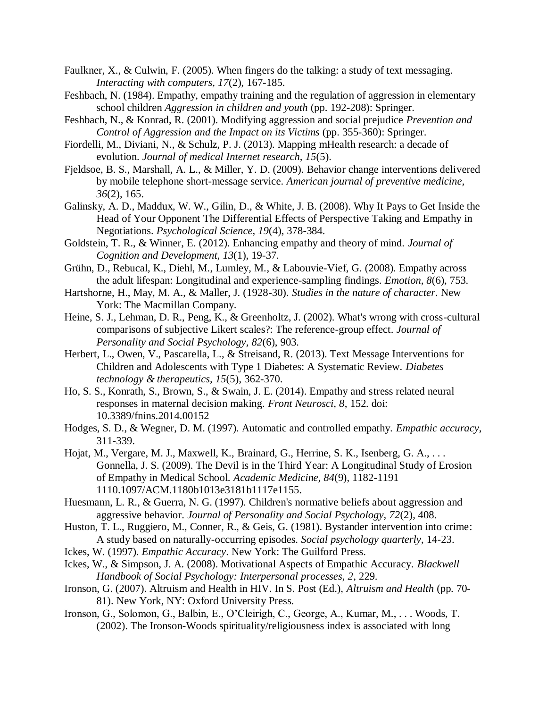- <span id="page-19-11"></span>Faulkner, X., & Culwin, F. (2005). When fingers do the talking: a study of text messaging. *Interacting with computers, 17*(2), 167-185.
- <span id="page-19-9"></span>Feshbach, N. (1984). Empathy, empathy training and the regulation of aggression in elementary school children *Aggression in children and youth* (pp. 192-208): Springer.
- <span id="page-19-10"></span>Feshbach, N., & Konrad, R. (2001). Modifying aggression and social prejudice *Prevention and Control of Aggression and the Impact on its Victims* (pp. 355-360): Springer.
- <span id="page-19-12"></span>Fiordelli, M., Diviani, N., & Schulz, P. J. (2013). Mapping mHealth research: a decade of evolution. *Journal of medical Internet research, 15*(5).
- <span id="page-19-13"></span>Fjeldsoe, B. S., Marshall, A. L., & Miller, Y. D. (2009). Behavior change interventions delivered by mobile telephone short-message service. *American journal of preventive medicine, 36*(2), 165.
- <span id="page-19-16"></span>Galinsky, A. D., Maddux, W. W., Gilin, D., & White, J. B. (2008). Why It Pays to Get Inside the Head of Your Opponent The Differential Effects of Perspective Taking and Empathy in Negotiations. *Psychological Science, 19*(4), 378-384.
- <span id="page-19-0"></span>Goldstein, T. R., & Winner, E. (2012). Enhancing empathy and theory of mind. *Journal of Cognition and Development, 13*(1), 19-37.
- <span id="page-19-7"></span>Grühn, D., Rebucal, K., Diehl, M., Lumley, M., & Labouvie-Vief, G. (2008). Empathy across the adult lifespan: Longitudinal and experience-sampling findings. *Emotion, 8*(6), 753.
- <span id="page-19-2"></span>Hartshorne, H., May, M. A., & Maller, J. (1928-30). *Studies in the nature of character*. New York: The Macmillan Company.
- <span id="page-19-18"></span>Heine, S. J., Lehman, D. R., Peng, K., & Greenholtz, J. (2002). What's wrong with cross-cultural comparisons of subjective Likert scales?: The reference-group effect. *Journal of Personality and Social Psychology, 82*(6), 903.
- <span id="page-19-14"></span>Herbert, L., Owen, V., Pascarella, L., & Streisand, R. (2013). Text Message Interventions for Children and Adolescents with Type 1 Diabetes: A Systematic Review. *Diabetes technology & therapeutics, 15*(5), 362-370.
- <span id="page-19-5"></span>Ho, S. S., Konrath, S., Brown, S., & Swain, J. E. (2014). Empathy and stress related neural responses in maternal decision making. *Front Neurosci, 8*, 152. doi: 10.3389/fnins.2014.00152
- <span id="page-19-15"></span>Hodges, S. D., & Wegner, D. M. (1997). Automatic and controlled empathy. *Empathic accuracy*, 311-339.
- <span id="page-19-19"></span>Hojat, M., Vergare, M. J., Maxwell, K., Brainard, G., Herrine, S. K., Isenberg, G. A., . . . Gonnella, J. S. (2009). The Devil is in the Third Year: A Longitudinal Study of Erosion of Empathy in Medical School. *Academic Medicine, 84*(9), 1182-1191 1110.1097/ACM.1180b1013e3181b1117e1155.
- <span id="page-19-17"></span>Huesmann, L. R., & Guerra, N. G. (1997). Children's normative beliefs about aggression and aggressive behavior. *Journal of Personality and Social Psychology, 72*(2), 408.
- <span id="page-19-3"></span>Huston, T. L., Ruggiero, M., Conner, R., & Geis, G. (1981). Bystander intervention into crime: A study based on naturally-occurring episodes. *Social psychology quarterly*, 14-23.
- <span id="page-19-1"></span>Ickes, W. (1997). *Empathic Accuracy*. New York: The Guilford Press.
- <span id="page-19-8"></span>Ickes, W., & Simpson, J. A. (2008). Motivational Aspects of Empathic Accuracy. *Blackwell Handbook of Social Psychology: Interpersonal processes, 2*, 229.
- <span id="page-19-6"></span>Ironson, G. (2007). Altruism and Health in HIV. In S. Post (Ed.), *Altruism and Health* (pp. 70- 81). New York, NY: Oxford University Press.
- <span id="page-19-4"></span>Ironson, G., Solomon, G., Balbin, E., O'Cleirigh, C., George, A., Kumar, M., . . . Woods, T. (2002). The Ironson-Woods spirituality/religiousness index is associated with long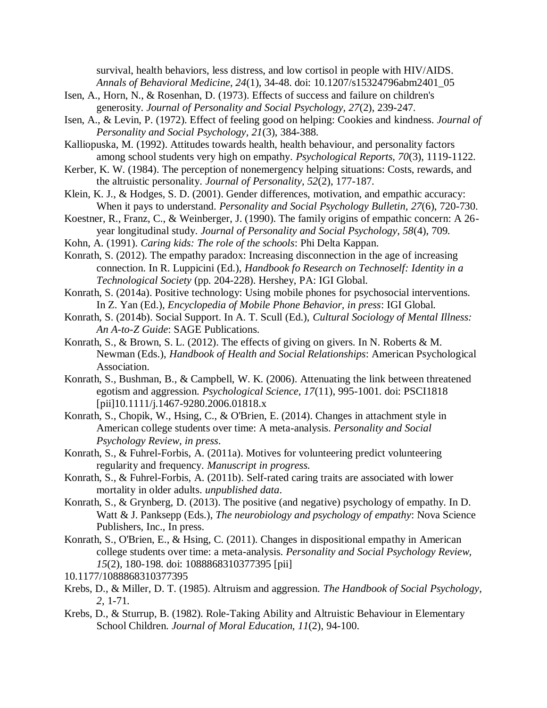survival, health behaviors, less distress, and low cortisol in people with HIV/AIDS. *Annals of Behavioral Medicine, 24*(1), 34-48. doi: 10.1207/s15324796abm2401\_05

- <span id="page-20-5"></span>Isen, A., Horn, N., & Rosenhan, D. (1973). Effects of success and failure on children's generosity. *Journal of Personality and Social Psychology, 27*(2), 239-247.
- <span id="page-20-6"></span>Isen, A., & Levin, P. (1972). Effect of feeling good on helping: Cookies and kindness. *Journal of Personality and Social Psychology, 21*(3), 384-388.
- <span id="page-20-3"></span>Kalliopuska, M. (1992). Attitudes towards health, health behaviour, and personality factors among school students very high on empathy. *Psychological Reports, 70*(3), 1119-1122.
- <span id="page-20-0"></span>Kerber, K. W. (1984). The perception of nonemergency helping situations: Costs, rewards, and the altruistic personality. *Journal of Personality, 52*(2), 177-187.
- <span id="page-20-8"></span>Klein, K. J., & Hodges, S. D. (2001). Gender differences, motivation, and empathic accuracy: When it pays to understand. *Personality and Social Psychology Bulletin, 27*(6), 720-730.
- <span id="page-20-10"></span>Koestner, R., Franz, C., & Weinberger, J. (1990). The family origins of empathic concern: A 26 year longitudinal study. *Journal of Personality and Social Psychology, 58*(4), 709.
- <span id="page-20-11"></span>Kohn, A. (1991). *Caring kids: The role of the schools*: Phi Delta Kappan.
- <span id="page-20-13"></span>Konrath, S. (2012). The empathy paradox: Increasing disconnection in the age of increasing connection. In R. Luppicini (Ed.), *Handbook fo Research on Technoself: Identity in a Technological Society* (pp. 204-228). Hershey, PA: IGI Global.
- <span id="page-20-14"></span>Konrath, S. (2014a). Positive technology: Using mobile phones for psychosocial interventions. In Z. Yan (Ed.), *Encyclopedia of Mobile Phone Behavior, in press*: IGI Global.
- <span id="page-20-17"></span>Konrath, S. (2014b). Social Support. In A. T. Scull (Ed.), *Cultural Sociology of Mental Illness: An A-to-Z Guide*: SAGE Publications.
- <span id="page-20-2"></span>Konrath, S., & Brown, S. L. (2012). The effects of giving on givers. In N. Roberts & M. Newman (Eds.), *Handbook of Health and Social Relationships*: American Psychological Association.
- <span id="page-20-16"></span>Konrath, S., Bushman, B., & Campbell, W. K. (2006). Attenuating the link between threatened egotism and aggression. *Psychological Science, 17*(11), 995-1001. doi: PSCI1818 [pii]10.1111/j.1467-9280.2006.01818.x
- <span id="page-20-12"></span>Konrath, S., Chopik, W., Hsing, C., & O'Brien, E. (2014). Changes in attachment style in American college students over time: A meta-analysis. *Personality and Social Psychology Review, in press*.
- <span id="page-20-15"></span>Konrath, S., & Fuhrel-Forbis, A. (2011a). Motives for volunteering predict volunteering regularity and frequency. *Manuscript in progress.*
- <span id="page-20-4"></span>Konrath, S., & Fuhrel-Forbis, A. (2011b). Self-rated caring traits are associated with lower mortality in older adults. *unpublished data*.
- <span id="page-20-18"></span>Konrath, S., & Grynberg, D. (2013). The positive (and negative) psychology of empathy. In D. Watt & J. Panksepp (Eds.), *The neurobiology and psychology of empathy*: Nova Science Publishers, Inc., In press.
- <span id="page-20-9"></span>Konrath, S., O'Brien, E., & Hsing, C. (2011). Changes in dispositional empathy in American college students over time: a meta-analysis. *Personality and Social Psychology Review, 15*(2), 180-198. doi: 1088868310377395 [pii]
- 10.1177/1088868310377395
- <span id="page-20-7"></span>Krebs, D., & Miller, D. T. (1985). Altruism and aggression. *The Handbook of Social Psychology, 2*, 1-71.
- <span id="page-20-1"></span>Krebs, D., & Sturrup, B. (1982). Role-Taking Ability and Altruistic Behaviour in Elementary School Children. *Journal of Moral Education, 11*(2), 94-100.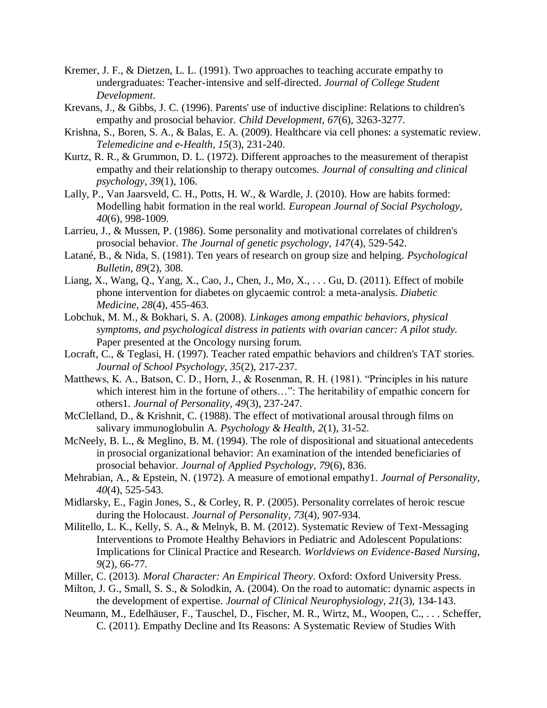- <span id="page-21-12"></span>Kremer, J. F., & Dietzen, L. L. (1991). Two approaches to teaching accurate empathy to undergraduates: Teacher-intensive and self-directed. *Journal of College Student Development*.
- <span id="page-21-11"></span>Krevans, J., & Gibbs, J. C. (1996). Parents' use of inductive discipline: Relations to children's empathy and prosocial behavior. *Child Development, 67*(6), 3263-3277.
- <span id="page-21-13"></span>Krishna, S., Boren, S. A., & Balas, E. A. (2009). Healthcare via cell phones: a systematic review. *Telemedicine and e-Health, 15*(3), 231-240.
- <span id="page-21-8"></span>Kurtz, R. R., & Grummon, D. L. (1972). Different approaches to the measurement of therapist empathy and their relationship to therapy outcomes. *Journal of consulting and clinical psychology, 39*(1), 106.
- <span id="page-21-18"></span>Lally, P., Van Jaarsveld, C. H., Potts, H. W., & Wardle, J. (2010). How are habits formed: Modelling habit formation in the real world. *European Journal of Social Psychology, 40*(6), 998-1009.
- <span id="page-21-3"></span>Larrieu, J., & Mussen, P. (1986). Some personality and motivational correlates of children's prosocial behavior. *The Journal of genetic psychology, 147*(4), 529-542.
- <span id="page-21-10"></span>Latané, B., & Nida, S. (1981). Ten years of research on group size and helping. *Psychological Bulletin, 89*(2), 308.
- <span id="page-21-14"></span>Liang, X., Wang, Q., Yang, X., Cao, J., Chen, J., Mo, X., . . . Gu, D. (2011). Effect of mobile phone intervention for diabetes on glycaemic control: a meta-analysis. *Diabetic Medicine, 28*(4), 455-463.
- <span id="page-21-0"></span>Lobchuk, M. M., & Bokhari, S. A. (2008). *Linkages among empathic behaviors, physical symptoms, and psychological distress in patients with ovarian cancer: A pilot study.* Paper presented at the Oncology nursing forum.
- <span id="page-21-1"></span>Locraft, C., & Teglasi, H. (1997). Teacher rated empathic behaviors and children's TAT stories. *Journal of School Psychology, 35*(2), 217-237.
- <span id="page-21-9"></span>Matthews, K. A., Batson, C. D., Horn, J., & Rosenman, R. H. (1981). "Principles in his nature which interest him in the fortune of others…": The heritability of empathic concern for others1. *Journal of Personality, 49*(3), 237-247.
- <span id="page-21-7"></span>McClelland, D., & Krishnit, C. (1988). The effect of motivational arousal through films on salivary immunoglobulin A. *Psychology & Health, 2*(1), 31-52.
- <span id="page-21-4"></span>McNeely, B. L., & Meglino, B. M. (1994). The role of dispositional and situational antecedents in prosocial organizational behavior: An examination of the intended beneficiaries of prosocial behavior. *Journal of Applied Psychology, 79*(6), 836.
- <span id="page-21-5"></span>Mehrabian, A., & Epstein, N. (1972). A measure of emotional empathy1. *Journal of Personality, 40*(4), 525-543.
- <span id="page-21-6"></span>Midlarsky, E., Fagin Jones, S., & Corley, R. P. (2005). Personality correlates of heroic rescue during the Holocaust. *Journal of Personality, 73*(4), 907-934.
- <span id="page-21-15"></span>Militello, L. K., Kelly, S. A., & Melnyk, B. M. (2012). Systematic Review of Text-Messaging Interventions to Promote Healthy Behaviors in Pediatric and Adolescent Populations: Implications for Clinical Practice and Research. *Worldviews on Evidence-Based Nursing, 9*(2), 66-77.
- <span id="page-21-2"></span>Miller, C. (2013). *Moral Character: An Empirical Theory*. Oxford: Oxford University Press.
- <span id="page-21-16"></span>Milton, J. G., Small, S. S., & Solodkin, A. (2004). On the road to automatic: dynamic aspects in the development of expertise. *Journal of Clinical Neurophysiology, 21*(3), 134-143.
- <span id="page-21-17"></span>Neumann, M., Edelhäuser, F., Tauschel, D., Fischer, M. R., Wirtz, M., Woopen, C., . . . Scheffer, C. (2011). Empathy Decline and Its Reasons: A Systematic Review of Studies With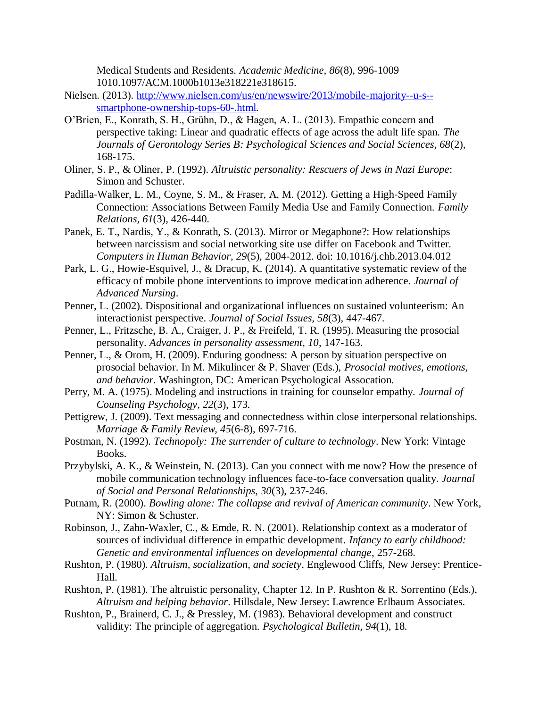Medical Students and Residents. *Academic Medicine, 86*(8), 996-1009 1010.1097/ACM.1000b1013e318221e318615.

- <span id="page-22-17"></span>Nielsen. (2013). [http://www.nielsen.com/us/en/newswire/2013/mobile-majority--u-s-](http://www.nielsen.com/us/en/newswire/2013/mobile-majority--u-s--smartphone-ownership-tops-60-.html) [smartphone-ownership-tops-60-.html.](http://www.nielsen.com/us/en/newswire/2013/mobile-majority--u-s--smartphone-ownership-tops-60-.html)
- <span id="page-22-9"></span>O'Brien, E., Konrath, S. H., Grühn, D., & Hagen, A. L. (2013). Empathic concern and perspective taking: Linear and quadratic effects of age across the adult life span. *The Journals of Gerontology Series B: Psychological Sciences and Social Sciences, 68*(2), 168-175.
- <span id="page-22-6"></span>Oliner, S. P., & Oliner, P. (1992). *Altruistic personality: Rescuers of Jews in Nazi Europe*: Simon and Schuster.
- <span id="page-22-13"></span>Padilla‐Walker, L. M., Coyne, S. M., & Fraser, A. M. (2012). Getting a High‐Speed Family Connection: Associations Between Family Media Use and Family Connection. *Family Relations, 61*(3), 426-440.
- <span id="page-22-11"></span>Panek, E. T., Nardis, Y., & Konrath, S. (2013). Mirror or Megaphone?: How relationships between narcissism and social networking site use differ on Facebook and Twitter. *Computers in Human Behavior, 29*(5), 2004-2012. doi: 10.1016/j.chb.2013.04.012
- <span id="page-22-16"></span>Park, L. G., Howie-Esquivel, J., & Dracup, K. (2014). A quantitative systematic review of the efficacy of mobile phone interventions to improve medication adherence. *Journal of Advanced Nursing*.
- <span id="page-22-4"></span>Penner, L. (2002). Dispositional and organizational influences on sustained volunteerism: An interactionist perspective. *Journal of Social Issues, 58*(3), 447-467.
- <span id="page-22-5"></span>Penner, L., Fritzsche, B. A., Craiger, J. P., & Freifeld, T. R. (1995). Measuring the prosocial personality. *Advances in personality assessment, 10*, 147-163.
- <span id="page-22-0"></span>Penner, L., & Orom, H. (2009). Enduring goodness: A person by situation perspective on prosocial behavior. In M. Mikulincer & P. Shaver (Eds.), *Prosocial motives, emotions, and behavior*. Washington, DC: American Psychological Assocation.
- <span id="page-22-8"></span>Perry, M. A. (1975). Modeling and instructions in training for counselor empathy. *Journal of Counseling Psychology, 22*(3), 173.
- <span id="page-22-14"></span>Pettigrew, J. (2009). Text messaging and connectedness within close interpersonal relationships. *Marriage & Family Review, 45*(6-8), 697-716.
- <span id="page-22-15"></span>Postman, N. (1992). *Technopoly: The surrender of culture to technology*. New York: Vintage Books.
- <span id="page-22-12"></span>Przybylski, A. K., & Weinstein, N. (2013). Can you connect with me now? How the presence of mobile communication technology influences face-to-face conversation quality. *Journal of Social and Personal Relationships, 30*(3), 237-246.
- <span id="page-22-10"></span>Putnam, R. (2000). *Bowling alone: The collapse and revival of American community*. New York, NY: Simon & Schuster.
- <span id="page-22-7"></span>Robinson, J., Zahn-Waxler, C., & Emde, R. N. (2001). Relationship context as a moderator of sources of individual difference in empathic development. *Infancy to early childhood: Genetic and environmental influences on developmental change*, 257-268.
- <span id="page-22-1"></span>Rushton, P. (1980). *Altruism, socialization, and society*. Englewood Cliffs, New Jersey: Prentice-Hall.
- <span id="page-22-2"></span>Rushton, P. (1981). The altruistic personality, Chapter 12. In P. Rushton & R. Sorrentino (Eds.), *Altruism and helping behavior*. Hillsdale, New Jersey: Lawrence Erlbaum Associates.
- <span id="page-22-3"></span>Rushton, P., Brainerd, C. J., & Pressley, M. (1983). Behavioral development and construct validity: The principle of aggregation. *Psychological Bulletin, 94*(1), 18.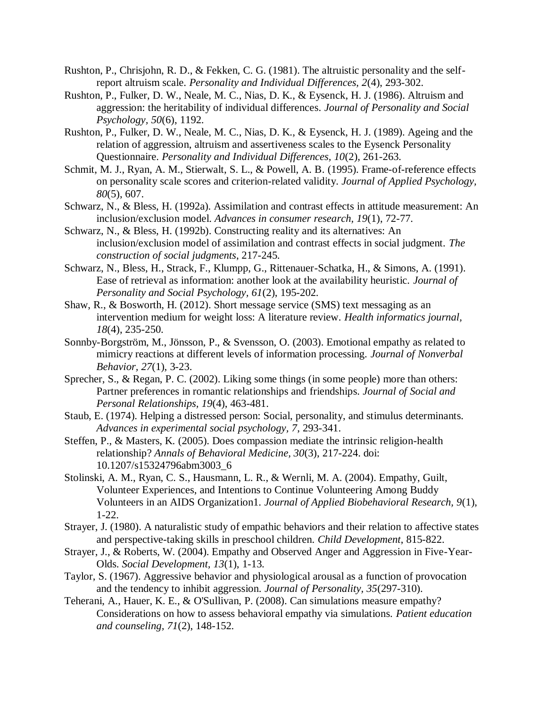- <span id="page-23-3"></span>Rushton, P., Chrisjohn, R. D., & Fekken, C. G. (1981). The altruistic personality and the selfreport altruism scale. *Personality and Individual Differences, 2*(4), 293-302.
- <span id="page-23-8"></span>Rushton, P., Fulker, D. W., Neale, M. C., Nias, D. K., & Eysenck, H. J. (1986). Altruism and aggression: the heritability of individual differences. *Journal of Personality and Social Psychology, 50*(6), 1192.
- <span id="page-23-4"></span>Rushton, P., Fulker, D. W., Neale, M. C., Nias, D. K., & Eysenck, H. J. (1989). Ageing and the relation of aggression, altruism and assertiveness scales to the Eysenck Personality Questionnaire. *Personality and Individual Differences, 10*(2), 261-263.
- <span id="page-23-16"></span>Schmit, M. J., Ryan, A. M., Stierwalt, S. L., & Powell, A. B. (1995). Frame-of-reference effects on personality scale scores and criterion-related validity. *Journal of Applied Psychology, 80*(5), 607.
- <span id="page-23-13"></span>Schwarz, N., & Bless, H. (1992a). Assimilation and contrast effects in attitude measurement: An inclusion/exclusion model. *Advances in consumer research, 19*(1), 72-77.
- <span id="page-23-14"></span>Schwarz, N., & Bless, H. (1992b). Constructing reality and its alternatives: An inclusion/exclusion model of assimilation and contrast effects in social judgment. *The construction of social judgments*, 217-245.
- <span id="page-23-15"></span>Schwarz, N., Bless, H., Strack, F., Klumpp, G., Rittenauer-Schatka, H., & Simons, A. (1991). Ease of retrieval as information: another look at the availability heuristic. *Journal of Personality and Social Psychology, 61*(2), 195-202.
- <span id="page-23-10"></span>Shaw, R., & Bosworth, H. (2012). Short message service (SMS) text messaging as an intervention medium for weight loss: A literature review. *Health informatics journal, 18*(4), 235-250.
- <span id="page-23-11"></span>Sonnby-Borgström, M., Jönsson, P., & Svensson, O. (2003). Emotional empathy as related to mimicry reactions at different levels of information processing. *Journal of Nonverbal Behavior, 27*(1), 3-23.
- <span id="page-23-2"></span>Sprecher, S., & Regan, P. C. (2002). Liking some things (in some people) more than others: Partner preferences in romantic relationships and friendships. *Journal of Social and Personal Relationships, 19*(4), 463-481.
- <span id="page-23-5"></span>Staub, E. (1974). Helping a distressed person: Social, personality, and stimulus determinants. *Advances in experimental social psychology, 7*, 293-341.
- <span id="page-23-7"></span>Steffen, P., & Masters, K. (2005). Does compassion mediate the intrinsic religion-health relationship? *Annals of Behavioral Medicine, 30*(3), 217-224. doi: 10.1207/s15324796abm3003\_6
- <span id="page-23-6"></span>Stolinski, A. M., Ryan, C. S., Hausmann, L. R., & Wernli, M. A. (2004). Empathy, Guilt, Volunteer Experiences, and Intentions to Continue Volunteering Among Buddy Volunteers in an AIDS Organization1. *Journal of Applied Biobehavioral Research, 9*(1), 1-22.
- <span id="page-23-0"></span>Strayer, J. (1980). A naturalistic study of empathic behaviors and their relation to affective states and perspective-taking skills in preschool children. *Child Development*, 815-822.
- <span id="page-23-9"></span>Strayer, J., & Roberts, W. (2004). Empathy and Observed Anger and Aggression in Five-Year-Olds. *Social Development, 13*(1), 1-13.
- <span id="page-23-12"></span>Taylor, S. (1967). Aggressive behavior and physiological arousal as a function of provocation and the tendency to inhibit aggression. *Journal of Personality, 35*(297-310).
- <span id="page-23-1"></span>Teherani, A., Hauer, K. E., & O'Sullivan, P. (2008). Can simulations measure empathy? Considerations on how to assess behavioral empathy via simulations. *Patient education and counseling, 71*(2), 148-152.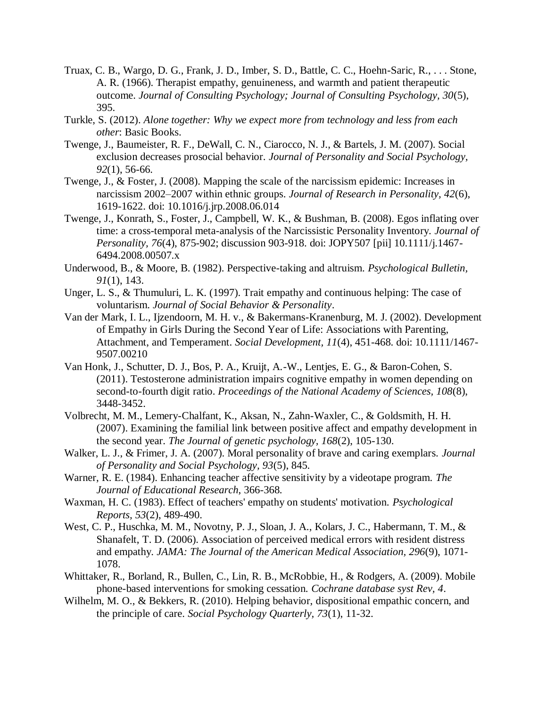- <span id="page-24-1"></span>Truax, C. B., Wargo, D. G., Frank, J. D., Imber, S. D., Battle, C. C., Hoehn-Saric, R., . . . Stone, A. R. (1966). Therapist empathy, genuineness, and warmth and patient therapeutic outcome. *Journal of Consulting Psychology; Journal of Consulting Psychology, 30*(5), 395.
- <span id="page-24-13"></span>Turkle, S. (2012). *Alone together: Why we expect more from technology and less from each other*: Basic Books.
- <span id="page-24-10"></span>Twenge, J., Baumeister, R. F., DeWall, C. N., Ciarocco, N. J., & Bartels, J. M. (2007). Social exclusion decreases prosocial behavior. *Journal of Personality and Social Psychology, 92*(1), 56-66.
- <span id="page-24-11"></span>Twenge, J., & Foster, J. (2008). Mapping the scale of the narcissism epidemic: Increases in narcissism 2002–2007 within ethnic groups. *Journal of Research in Personality, 42*(6), 1619-1622. doi: 10.1016/j.jrp.2008.06.014
- <span id="page-24-12"></span>Twenge, J., Konrath, S., Foster, J., Campbell, W. K., & Bushman, B. (2008). Egos inflating over time: a cross-temporal meta-analysis of the Narcissistic Personality Inventory. *Journal of Personality, 76*(4), 875-902; discussion 903-918. doi: JOPY507 [pii] 10.1111/j.1467- 6494.2008.00507.x
- <span id="page-24-2"></span>Underwood, B., & Moore, B. (1982). Perspective-taking and altruism. *Psychological Bulletin, 91*(1), 143.
- <span id="page-24-3"></span>Unger, L. S., & Thumuluri, L. K. (1997). Trait empathy and continuous helping: The case of voluntarism. *Journal of Social Behavior & Personality*.
- <span id="page-24-8"></span>Van der Mark, I. L., Ijzendoorn, M. H. v., & Bakermans-Kranenburg, M. J. (2002). Development of Empathy in Girls During the Second Year of Life: Associations with Parenting, Attachment, and Temperament. *Social Development, 11*(4), 451-468. doi: 10.1111/1467- 9507.00210
- <span id="page-24-0"></span>Van Honk, J., Schutter, D. J., Bos, P. A., Kruijt, A.-W., Lentjes, E. G., & Baron-Cohen, S. (2011). Testosterone administration impairs cognitive empathy in women depending on second-to-fourth digit ratio. *Proceedings of the National Academy of Sciences, 108*(8), 3448-3452.
- <span id="page-24-9"></span>Volbrecht, M. M., Lemery-Chalfant, K., Aksan, N., Zahn-Waxler, C., & Goldsmith, H. H. (2007). Examining the familial link between positive affect and empathy development in the second year. *The Journal of genetic psychology, 168*(2), 105-130.
- <span id="page-24-5"></span>Walker, L. J., & Frimer, J. A. (2007). Moral personality of brave and caring exemplars. *Journal of Personality and Social Psychology, 93*(5), 845.
- <span id="page-24-15"></span>Warner, R. E. (1984). Enhancing teacher affective sensitivity by a videotape program. *The Journal of Educational Research*, 366-368.
- <span id="page-24-6"></span>Waxman, H. C. (1983). Effect of teachers' empathy on students' motivation. *Psychological Reports, 53*(2), 489-490.
- <span id="page-24-7"></span>West, C. P., Huschka, M. M., Novotny, P. J., Sloan, J. A., Kolars, J. C., Habermann, T. M., & Shanafelt, T. D. (2006). Association of perceived medical errors with resident distress and empathy. *JAMA: The Journal of the American Medical Association, 296*(9), 1071- 1078.
- <span id="page-24-14"></span>Whittaker, R., Borland, R., Bullen, C., Lin, R. B., McRobbie, H., & Rodgers, A. (2009). Mobile phone-based interventions for smoking cessation. *Cochrane database syst Rev, 4*.
- <span id="page-24-4"></span>Wilhelm, M. O., & Bekkers, R. (2010). Helping behavior, dispositional empathic concern, and the principle of care. *Social Psychology Quarterly, 73*(1), 11-32.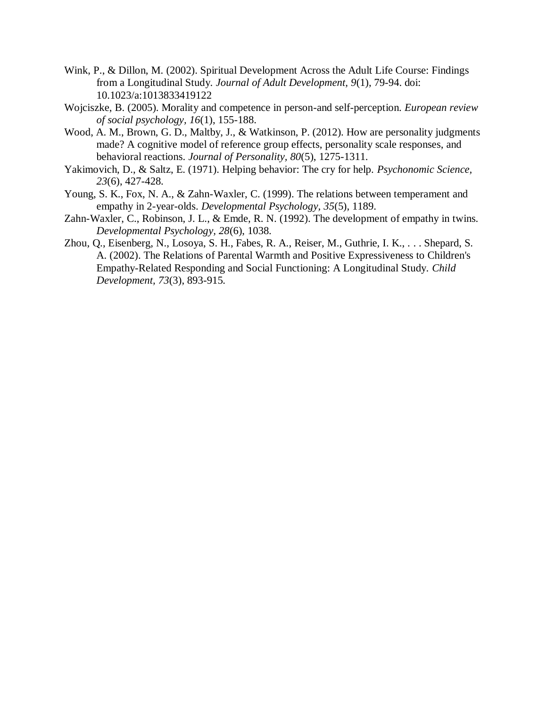- <span id="page-25-2"></span>Wink, P., & Dillon, M. (2002). Spiritual Development Across the Adult Life Course: Findings from a Longitudinal Study. *Journal of Adult Development, 9*(1), 79-94. doi: 10.1023/a:1013833419122
- <span id="page-25-0"></span>Wojciszke, B. (2005). Morality and competence in person-and self-perception. *European review of social psychology, 16*(1), 155-188.
- <span id="page-25-6"></span>Wood, A. M., Brown, G. D., Maltby, J., & Watkinson, P. (2012). How are personality judgments made? A cognitive model of reference group effects, personality scale responses, and behavioral reactions. *Journal of Personality, 80*(5), 1275-1311.
- <span id="page-25-1"></span>Yakimovich, D., & Saltz, E. (1971). Helping behavior: The cry for help. *Psychonomic Science, 23*(6), 427-428.
- <span id="page-25-4"></span>Young, S. K., Fox, N. A., & Zahn-Waxler, C. (1999). The relations between temperament and empathy in 2-year-olds. *Developmental Psychology, 35*(5), 1189.
- <span id="page-25-3"></span>Zahn-Waxler, C., Robinson, J. L., & Emde, R. N. (1992). The development of empathy in twins. *Developmental Psychology, 28*(6), 1038.
- <span id="page-25-5"></span>Zhou, Q., Eisenberg, N., Losoya, S. H., Fabes, R. A., Reiser, M., Guthrie, I. K., . . . Shepard, S. A. (2002). The Relations of Parental Warmth and Positive Expressiveness to Children's Empathy-Related Responding and Social Functioning: A Longitudinal Study. *Child Development, 73*(3), 893-915.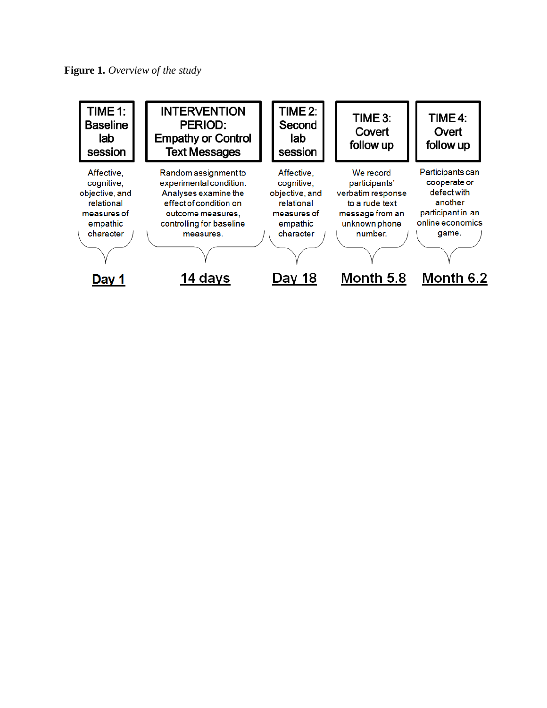**Figure 1.** *Overview of the study*

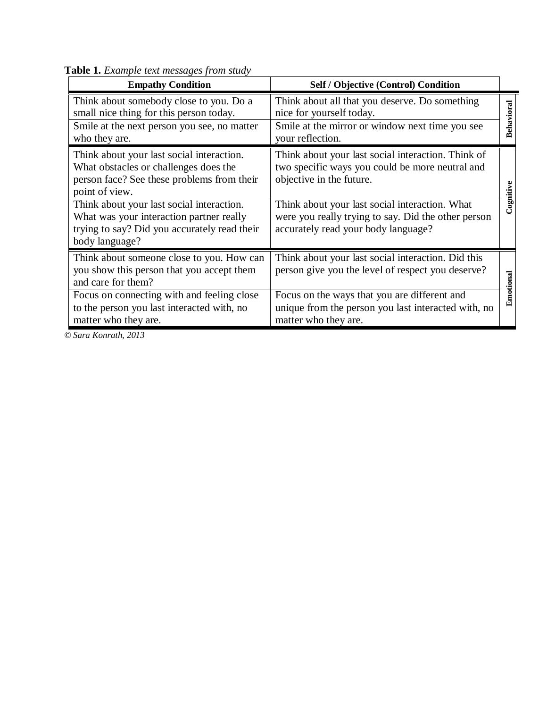| <b>Empathy Condition</b>                                                                                                                                | <b>Self / Objective (Control) Condition</b>                                                                                                  |                   |
|---------------------------------------------------------------------------------------------------------------------------------------------------------|----------------------------------------------------------------------------------------------------------------------------------------------|-------------------|
| Think about somebody close to you. Do a<br>small nice thing for this person today.                                                                      | Think about all that you deserve. Do something<br>nice for yourself today.                                                                   | <b>Behavioral</b> |
| Smile at the next person you see, no matter<br>who they are.                                                                                            | Smile at the mirror or window next time you see<br>your reflection.                                                                          |                   |
| Think about your last social interaction.<br>What obstacles or challenges does the<br>person face? See these problems from their<br>point of view.      | Think about your last social interaction. Think of<br>two specific ways you could be more neutral and<br>objective in the future.            | Cognitive         |
| Think about your last social interaction.<br>What was your interaction partner really<br>trying to say? Did you accurately read their<br>body language? | Think about your last social interaction. What<br>were you really trying to say. Did the other person<br>accurately read your body language? |                   |
| Think about someone close to you. How can<br>you show this person that you accept them<br>and care for them?                                            | Think about your last social interaction. Did this<br>person give you the level of respect you deserve?                                      | Emotional         |
| Focus on connecting with and feeling close<br>to the person you last interacted with, no<br>matter who they are.                                        | Focus on the ways that you are different and<br>unique from the person you last interacted with, no<br>matter who they are.                  |                   |

**Table 1.** *Example text messages from study*

*© Sara Konrath, 2013*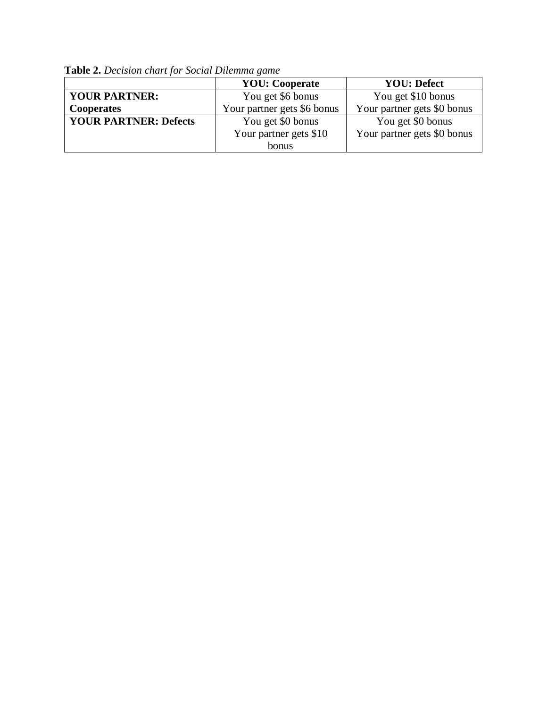|                              | <b>YOU: Cooperate</b>       | <b>YOU</b> : Defect         |  |
|------------------------------|-----------------------------|-----------------------------|--|
| <b>YOUR PARTNER:</b>         | You get \$6 bonus           | You get \$10 bonus          |  |
| <b>Cooperates</b>            | Your partner gets \$6 bonus | Your partner gets \$0 bonus |  |
| <b>YOUR PARTNER: Defects</b> | You get \$0 bonus           | You get \$0 bonus           |  |
|                              | Your partner gets \$10      | Your partner gets \$0 bonus |  |
|                              | bonus                       |                             |  |

**Table 2.** *Decision chart for Social Dilemma game*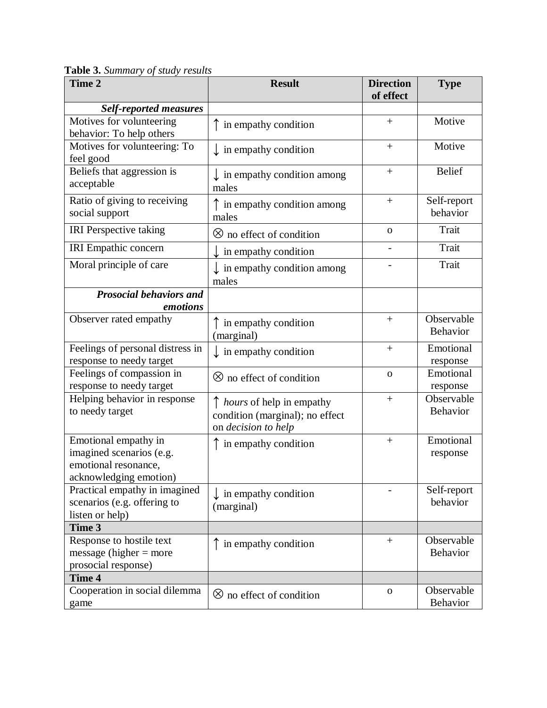**Table 3.** *Summary of study results*

| Time 2                                                                                             | <b>Result</b>                                                                             | <b>Direction</b><br>of effect | <b>Type</b>                   |
|----------------------------------------------------------------------------------------------------|-------------------------------------------------------------------------------------------|-------------------------------|-------------------------------|
| <b>Self-reported measures</b>                                                                      |                                                                                           |                               |                               |
| Motives for volunteering<br>behavior: To help others                                               | $\uparrow$ in empathy condition                                                           | $^{+}$                        | Motive                        |
| Motives for volunteering: To<br>feel good                                                          | $\downarrow$ in empathy condition                                                         | $+$                           | Motive                        |
| Beliefs that aggression is<br>acceptable                                                           | $\downarrow$ in empathy condition among<br>males                                          | $+$                           | <b>Belief</b>                 |
| Ratio of giving to receiving<br>social support                                                     | $\uparrow$ in empathy condition among<br>males                                            | $^{+}$                        | Self-report<br>behavior       |
| IRI Perspective taking                                                                             | $\otimes$ no effect of condition                                                          | $\mathbf{O}$                  | Trait                         |
| IRI Empathic concern                                                                               | in empathy condition                                                                      | $\overline{a}$                | Trait                         |
| Moral principle of care                                                                            | $\downarrow$ in empathy condition among<br>males                                          |                               | Trait                         |
| <b>Prosocial behaviors and</b><br>emotions                                                         |                                                                                           |                               |                               |
| Observer rated empathy                                                                             | $\uparrow$ in empathy condition<br>(marginal)                                             | $^{+}$                        | Observable<br><b>Behavior</b> |
| Feelings of personal distress in<br>response to needy target                                       | $\downarrow$ in empathy condition                                                         | $+$                           | Emotional<br>response         |
| Feelings of compassion in<br>response to needy target                                              | $\otimes$ no effect of condition                                                          | $\mathbf O$                   | Emotional<br>response         |
| Helping behavior in response<br>to needy target                                                    | <i>nours</i> of help in empathy<br>condition (marginal); no effect<br>on decision to help | $^{+}$                        | Observable<br>Behavior        |
| Emotional empathy in<br>imagined scenarios (e.g.<br>emotional resonance,<br>acknowledging emotion) | in empathy condition                                                                      | $^{+}$                        | Emotional<br>response         |
| Practical empathy in imagined<br>scenarios (e.g. offering to<br>listen or help)                    | $\downarrow$ in empathy condition<br>(marginal)                                           |                               | Self-report<br>behavior       |
| Time 3                                                                                             |                                                                                           |                               |                               |
| Response to hostile text<br>$message (higher = more)$<br>prosocial response)                       | $\uparrow$ in empathy condition                                                           | $+$                           | Observable<br><b>Behavior</b> |
| Time 4                                                                                             |                                                                                           |                               |                               |
| Cooperation in social dilemma<br>game                                                              | $\otimes$ no effect of condition                                                          | $\mathbf 0$                   | Observable<br>Behavior        |